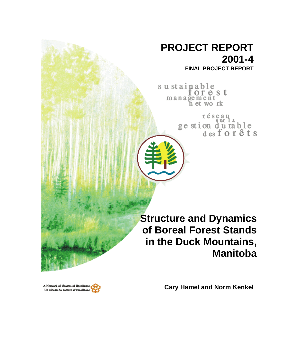# **PROJECT REPORT 2001-4**

**FINAL PROJECT REPORT**

sustainable forest management<br>n et work

> réseau ge stion durable<br>desforêts

**Structure and Dynamics of Boreal Forest Stands in the Duck Mountains, Manitoba**

A Network of Centres of Bxcelk Un réseau de centres d'excelles **Cary Hamel and Norm Kenkel**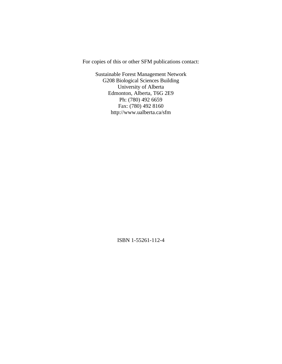For copies of this or other SFM publications contact:

Sustainable Forest Management Network G208 Biological Sciences Building University of Alberta Edmonton, Alberta, T6G 2E9 Ph: (780) 492 6659 Fax: (780) 492 8160 http://www.ualberta.ca/sfm

ISBN 1-55261-112-4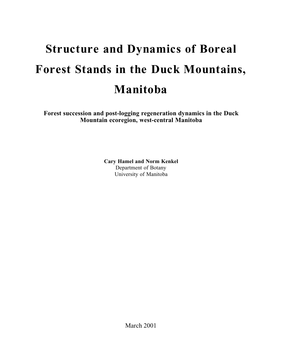# **Structure and Dynamics of Boreal** Forest Stands in the Duck Mountains, **M a n i t o b a**

**Forest succession and post-logging regeneration dynamics in the Duck Mountain ecoregion, west-central Manitoba**

> **Cary Hamel and Norm Kenkel** Department of Botany University of Manitoba

> > March 2001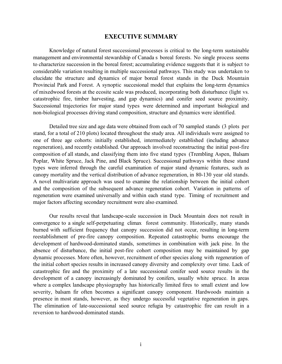# **EXECUTIVE SUMMARY**

Knowledge of natural forest successional processes is critical to the long-term sustainable management and environmental stewardship of Canada s boreal forests. No single process seems to characterize succession in the boreal forest; accumulating evidence suggests that it is subject to considerable variation resulting in multiple successional pathways. This study was undertaken to elucidate the structure and dynamics of major boreal forest stands in the Duck Mountain Provincial Park and Forest. A synoptic succesional model that explains the long-term dynamics of mixedwood forests at the ecosite scale was produced, incorporating both disturbance (light vs. catastrophic fire, timber harvesting, and gap dynamics) and conifer seed source proximity. Successional trajectories for major stand types were determined and important biological and non-biological processes driving stand composition, structure and dynamics were identified.

Detailed tree size and age data were obtained from each of 70 sampled stands (3 plots per stand, for a total of 210 plots) located throughout the study area. All individuals were assigned to one of three age cohorts: initially established, intermediately established (including advance regeneration), and recently established. Our approach involved reconstructing the initial post-fire composition of all stands, and classifying them into five stand types (Trembling Aspen, Balsam Poplar, White Spruce, Jack Pine, and Black Spruce). Successional pathways within these stand types were inferred through the careful examination of major stand dynamic features, such as canopy mortality and the vertical distribution of advance regeneration, in 80-130 year old stands. A novel multivariate approach was used to examine the relationship between the initial cohort and the composition of the subsequent advance regeneration cohort. Variation in patterns of regeneration were examined universally and within each stand type. Timing of recruitment and major factors affecting secondary recruitment were also examined.

Our results reveal that landscape-scale succession in Duck Mountain does not result in convergence to a single self-perpetuating climax forest community. Historically, many stands burned with sufficient frequency that canopy succession did not occur, resulting in long-term reestablishment of pre-fire canopy composition. Repeated catastrophic burns encourage the development of hardwood-dominated stands, sometimes in combination with jack pine. In the absence of disturbance, the initial post-fire cohort composition may be maintained by gap dynamic processes. More often, however, recruitment of other species along with regeneration of the initial cohort species results in increased canopy diversity and complexity over time. Lack of catastrophic fire and the proximity of a late successional conifer seed source results in the development of a canopy increasingly dominated by conifers, usually white spruce. In areas where a complex landscape physiography has historically limited fires to small extent and low severity, balsam fir often becomes a significant canopy component. Hardwoods maintain a presence in most stands, however, as they undergo successful vegetative regeneration in gaps. The elimination of late-successional seed source refugia by catastrophic fire can result in a reversion to hardwood-dominated stands.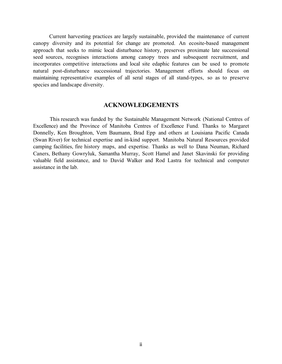Current harvesting practices are largely sustainable, provided the maintenance of current canopy diversity and its potential for change are promoted. An ecosite-based management approach that seeks to mimic local disturbance history, preserves proximate late successional seed sources, recognises interactions among canopy trees and subsequent recruitment, and incorporates competitive interactions and local site edaphic features can be used to promote natural post-disturbance successional trajectories. Management efforts should focus on maintaining representative examples of all seral stages of all stand-types, so as to preserve species and landscape diversity.

# **ACKNOWLEDGEMENTS**

This research was funded by the Sustainable Management Network (National Centres of Excellence) and the Province of Manitoba Centres of Excellence Fund. Thanks to Margaret Donnelly, Ken Broughton, Vern Baumann, Brad Epp and others at Louisiana Pacific Canada (Swan River) for technical expertise and in-kind support. Manitoba Natural Resources provided camping facilities, fire history maps, and expertise. Thanks as well to Dana Neuman, Richard Caners, Bethany Gowryluk, Samantha Murray, Scott Hamel and Janet Skavinski for providing valuable field assistance, and to David Walker and Rod Lastra for technical and computer assistance in the lab.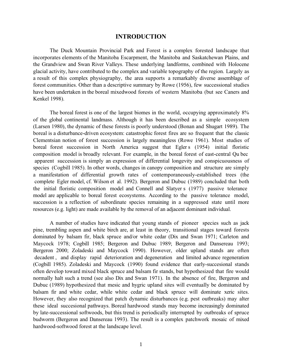# **INTRODUCTION**

The Duck Mountain Provincial Park and Forest is a complex forested landscape that incorporates elements of the Manitoba Escarpment, the Manitoba and Saskatchewan Plains, and the Grandview and Swan River Valleys. These underlying landforms, combined with Holocene glacial activity, have contributed to the complex and variable topography of the region. Largely as a result of this complex physiography, the area supports a remarkably diverse assemblage of forest communities. Other than a descriptive summary by Rowe (1956), few successional studies have been undertaken in the boreal mixedwood forests of western Manitoba (but see Caners and Kenkel 1998).

The boreal forest is one of the largest biomes in the world, occupying approximately 8% of the global continental landmass. Although it has been described as a simple ecosystem (Larsen 1980), the dynamic of these forests is poorly understood (Bonan and Shugart 1989). The boreal is a disturbance-driven ecosystem: catastrophic forest fires are so frequent that the classic Clementsian notion of forest succession is largely meaningless (Rowe 1961). Most studies of boreal forest succession in North America suggest that Egler s (1954) initial floristic composition model is broadly relevant. For example, in the boreal forest of east-central Qu bec apparent succession is simply an expression of differential longevity and conspicuousness of species (Cogbill 1985). In other words, changes in canopy composition and structure are simply a manifestation of differential growth rates of contemporaneously-established trees (the complete Egler model, cf. Wilson et al. 1992). Bergeron and Dubuc (1989) concluded that both the initial floristic composition model and Connell and Slatyer s (1977) passive tolerance model are applicable to boreal forest ecosystems. According to the passive tolerance model, succession is a reflection of subordinate species remaining in a suppressed state until more resources (e.g. light) are made available by the removal of an adjacent dominant individual.

A number of studies have indicated that young stands of pioneer species such as jack pine, trembling aspen and white birch are, at least in theory, transitional stages toward forests dominated by balsam fir, black spruce and/or white cedar (Dix and Swan 1971; Carleton and Maycock 1978; Cogbill 1985; Bergeron and Dubuc 1989; Bergeron and Dansereau 1993; Bergeron 2000; Zoladeski and Maycock 1990). However, older upland stands are often decadent , and display rapid deterioration and degeneration and limited advance regeneration (Cogbill 1985). Zoladeski and Maycock (1990) found evidence that early-succesional stands often develop toward mixed black spruce and balsam fir stands, but hypothesized that fire would normally halt such a trend (see also Dix and Swan 1971). In the absence of fire, Bergeron and Dubuc (1989) hypothesized that mesic and hygric upland sites will eventually be dominated by balsam fir and white cedar, while white cedar and black spruce will dominate xeric sites. However, they also recognized that patch dynamic disturbances (e.g. pest outbreaks) may alter these ideal succesional pathways. Boreal hardwood stands may become increasingly dominated by late-successional softwoods, but this trend is periodically interrupted by outbreaks of spruce budworm (Bergeron and Dansereau 1993). The result is a complex patchwork mosaic of mixed hardwood-softwood forest at the landscape level.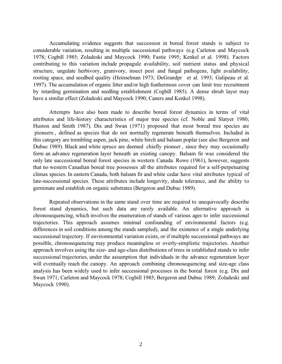Accumulating evidence suggests that succession in boreal forest stands is subject to considerable variation, resulting in multiple successional pathways (e.g Carleton and Maycock 1978; Cogbill 1985; Zoladeski and Maycock 1990; Fastie 1995; Kenkel et al. 1998). Factors contributing to this variation include propagule availability, soil nutrient status and physical structure, ungulate herbivory, granivory, insect pest and fungal pathogens, light availability, rooting space, and seedbed quality (Heinselman 1973; DeGrandpr et al. 1993; Galipeau et al. 1997). The accumulation of organic litter and/or high feathermoss cover can limit tree recruitment by retarding germination and seedling establishment (Cogbill 1985). A dense shrub layer may have a similar effect (Zoladeski and Maycock 1990; Caners and Kenkel 1998).

 Attempts have also been made to describe boreal forest dynamics in terms of vital attributes and life-history characteristics of major tree species (cf. Noble and Slatyer 1980; Huston and Smith 1987). Dix and Swan (1971) proposed that most boreal tree species are pioneers , defined as species that do not normally regenerate beneath themselves. Included in this category are trembling aspen, jack pine, white birch and balsam poplar (see also Bergeron and Dubuc 1989). Black and white spruce are deemed chiefly pioneer , since they may occasionally form an advance regeneration layer beneath an existing canopy. Balsam fir was considered the only late successional boreal forest species in western Canada. Rowe (1961), however, suggests that no western Canadian boreal tree possesses all the attributes required for a self-perpetuating climax species. In eastern Canada, both balsam fir and white cedar have vital attributes typical of late-successional species. These attributes include longevity, shade tolerance, and the ability to germinate and establish on organic substrates (Bergeron and Dubuc 1989).

 Repeated observations in the same stand over time are required to unequivocally describe forest stand dynamics, but such data are rarely available. An alternative approach is chronosequencing, which involves the enumeration of stands of various ages to infer successional trajectories. This approach assumes minimal confounding of environmental factors (e.g. differences in soil conditions among the stands sampled), and the existence of a single underlying successional trajectory. If environmental variation exists, or if multiple successional pathways are possible, chronosequencing may produce meaningless or overly-simplistic trajectories. Another approach involves using the size- and age-class distributions of trees in established stands to infer successional trajectories, under the assumption that individuals in the advance regeneration layer will eventually reach the canopy. An approach combining chronosequencing and size-age class analysis has been widely used to infer successional processes in the boreal forest (e.g. Dix and Swan 1971; Carleton and Maycock 1978; Cogbill 1985; Bergeron and Dubuc 1989; Zoladeski and Maycock 1990).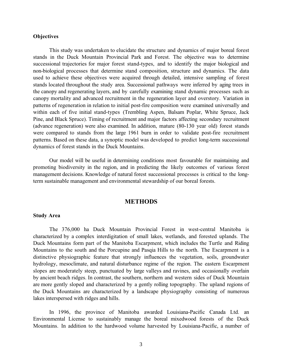# **Objectives**

 This study was undertaken to elucidate the structure and dynamics of major boreal forest stands in the Duck Mountain Provincial Park and Forest. The objective was to determine successional trajectories for major forest stand-types, and to identify the major biological and non-biological processes that determine stand composition, structure and dynamics. The data used to achieve these objectives were acquired through detailed, intensive sampling of forest stands located throughout the study area. Successional pathways were inferred by aging trees in the canopy and regenerating layers, and by carefully examining stand dynamic processes such as canopy mortality and advanced recruitment in the regeneration layer and overstory. Variation in patterns of regeneration in relation to initial post-fire composition were examined universally and within each of five initial stand-types (Trembling Aspen, Balsam Poplar, White Spruce, Jack Pine, and Black Spruce). Timing of recruitment and major factors affecting secondary recruitment (advance regeneration) were also examined. In addition, mature (80-130 year old) forest stands were compared to stands from the large 1961 burn in order to validate post-fire recruitment patterns. Based on these data, a synoptic model was developed to predict long-term successional dynamics of forest stands in the Duck Mountains.

 Our model will be useful in determining conditions most favourable for maintaining and promoting biodiversity in the region, and in predicting the likely outcomes of various forest management decisions. Knowledge of natural forest successional processes is critical to the longterm sustainable management and environmental stewardship of our boreal forests.

#### **METHODS**

# **Study Area**

 The 376,000 ha Duck Mountain Provincial Forest in west-central Manitoba is characterized by a complex interdigitation of small lakes, wetlands, and forested uplands. The Duck Mountains form part of the Manitoba Escarpment, which includes the Turtle and Riding Mountains to the south and the Porcupine and Pasqia Hills to the north. The Escarpment is a distinctive physiographic feature that strongly influences the vegetation, soils, groundwater hydrology, mesoclimate, and natural disturbance regime of the region. The eastern Escarpment slopes are moderately steep, punctuated by large valleys and ravines, and occasionally overlain by ancient beach ridges. In contrast, the southern, northern and western sides of Duck Mountain are more gently sloped and characterized by a gently rolling topography. The upland regions of the Duck Mountains are characterized by a landscape physiography consisting of numerous lakes interspersed with ridges and hills.

 In 1996, the province of Manitoba awarded Louisiana-Pacific Canada Ltd. an Environmental License to sustainably manage the boreal mixedwood forests of the Duck Mountains. In addition to the hardwood volume harvested by Louisiana-Pacific, a number of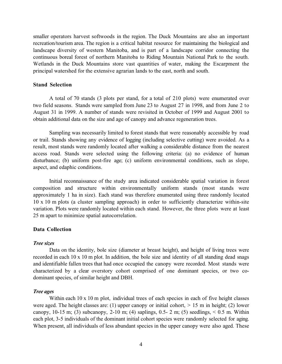smaller operators harvest softwoods in the region. The Duck Mountains are also an important recreation/tourism area. The region is a critical habitat resource for maintaining the biological and landscape diversity of western Manitoba, and is part of a landscape corridor connecting the continuous boreal forest of northern Manitoba to Riding Mountain National Park to the south. Wetlands in the Duck Mountains store vast quantities of water, making the Escarpment the principal watershed for the extensive agrarian lands to the east, north and south.

# **Stand Selection**

 A total of 70 stands (3 plots per stand, for a total of 210 plots) were enumerated over two field seasons. Stands were sampled from June 23 to August 27 in 1998, and from June 2 to August 31 in 1999. A number of stands were revisited in October of 1999 and August 2001 to obtain additional data on the size and age of canopy and advance regeneration trees.

 Sampling was necessarily limited to forest stands that were reasonably accessible by road or trail. Stands showing any evidence of logging (including selective cutting) were avoided. As a result, most stands were randomly located after walking a considerable distance from the nearest access road. Stands were selected using the following criteria: (a) no evidence of human disturbance; (b) uniform post-fire age; (c) uniform environmental conditions, such as slope, aspect, and edaphic conditions.

 Initial reconnaissance of the study area indicated considerable spatial variation in forest composition and structure within environmentally uniform stands (most stands were approximately 1 ha in size). Each stand was therefore enumerated using three randomly located 10 x 10 m plots (a cluster sampling approach) in order to sufficiently characterize within-site variation. Plots were randomly located within each stand. However, the three plots were at least 25 m apart to minimize spatial autocorrelation.

#### **Data Collection**

#### *Tree sizes*

 Data on the identity, bole size (diameter at breast height), and height of living trees were recorded in each 10 x 10 m plot. In addition, the bole size and identity of all standing dead snags and identifiable fallen trees that had once occupied the canopy were recorded. Most stands were characterized by a clear overstory cohort comprised of one dominant species, or two codominant species, of similar height and DBH.

#### *Tree ages*

Within each 10 x 10 m plot, individual trees of each species in each of five height classes were aged. The height classes are: (1) upper canopy or initial cohort,  $> 15$  m in height; (2) lower canopy, 10-15 m; (3) subcanopy, 2-10 m; (4) saplings, 0.5- 2 m; (5) seedlings,  $< 0.5$  m. Within each plot, 3-5 individuals of the dominant initial cohort species were randomly selected for aging. When present, all individuals of less abundant species in the upper canopy were also aged. These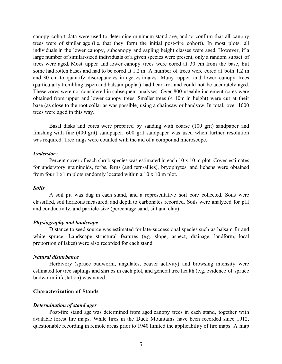canopy cohort data were used to determine minimum stand age, and to confirm that all canopy trees were of similar age (i.e. that they form the initial post-fire cohort). In most plots, all individuals in the lower canopy, subcanopy and sapling height classes were aged. However, if a large number of similar-sized individuals of a given species were present, only a random subset of trees were aged. Most upper and lower canopy trees were cored at 30 cm from the base, but some had rotten bases and had to be cored at 1.2 m. A number of trees were cored at both 1.2 m and 30 cm to quantify discrepancies in age estimates. Many upper and lower canopy trees (particularly trembling aspen and balsam poplar) had heart-rot and could not be accurately aged. These cores were not considered in subsequent analyses. Over 800 useable increment cores were obtained from upper and lower canopy trees. Smaller trees (< 10m in height) were cut at their base (as close to the root collar as was possible) using a chainsaw or handsaw. In total, over 1000 trees were aged in this way.

 Basal disks and cores were prepared by sanding with coarse (100 grit) sandpaper and finishing with fine (400 grit) sandpaper. 600 grit sandpaper was used when further resolution was required. Tree rings were counted with the aid of a compound microscope.

#### *Understory*

 Percent cover of each shrub species was estimated in each 10 x 10 m plot. Cover estimates for understory graminoids, forbs, ferns (and fern-allies), bryophytes and lichens were obtained from four 1 x1 m plots randomly located within a 10 x 10 m plot.

#### *Soils*

 A soil pit was dug in each stand, and a representative soil core collected. Soils were classified, soil horizons measured, and depth to carbonates recorded. Soils were analyzed for pH and conductivity, and particle-size (percentage sand, silt and clay).

# *Physiography and landscape*

 Distance to seed source was estimated for late-successional species such as balsam fir and white spruce. Landscape structural features (e.g. slope, aspect, drainage, landform, local proportion of lakes) were also recorded for each stand.

#### *Natural disturbance*

 Herbivory (spruce budworm, ungulates, beaver activity) and browsing intensity were estimated for tree saplings and shrubs in each plot, and general tree health (e.g. evidence of spruce budworm infestation) was noted.

#### **Characterization of Stands**

#### *Determination of stand ages*

 Post-fire stand age was determined from aged canopy trees in each stand, together with available forest fire maps. While fires in the Duck Mountains have been recorded since 1912, questionable recording in remote areas prior to 1940 limited the applicability of fire maps. A map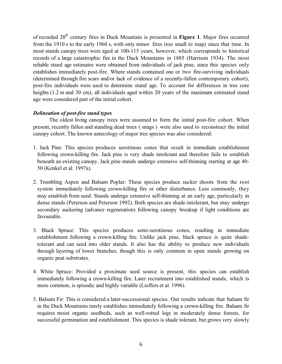of recorded 20<sup>th</sup> century fires in Duck Mountain is presented in **Figure 1**. Major fires occurred from the 1910 s to the early 1960 s, with only minor fires (too small to map) since that time. In most stands canopy trees were aged at 100-115 years, however, which corresponds to historical records of a large catastrophic fire in the Duck Mountains in 1885 (Harrison 1934). The most reliable stand age estimates were obtained from individuals of jack pine, since this species only establishes immediately post-fire. Where stands contained one or two fire-surviving individuals (determined through fire scars and/or lack of evidence of a recently-fallen contemporary cohort), post-fire individuals were used to determine stand age. To account for differences in tree core heights (1.2 m and 30 cm), all individuals aged within 20 years of the maximum estimated stand age were considered part of the initial cohort.

# *Delineation of post-fire stand types*

 The oldest living canopy trees were assumed to form the initial post-fire cohort. When present, recently fallen and standing dead trees ( snags ) were also used to reconstruct the initial canopy cohort. The known autecology of major tree species was also considered:

- 1. Jack Pine: This species produces serotinous cones that result in immediate establishment following crown-killing fire. Jack pine is very shade intolerant and therefore fails to establish beneath an existing canopy. Jack pine stands undergo extensive self-thinning starting at age 40- 50 (Kenkel et al. 1997a).
- 2. Trembling Aspen and Balsam Poplar: These species produce sucker shoots from the root system immediately following crown-killing fire or other disturbance. Less commonly, they may establish from seed. Stands undergo extensive self-thinning at an early age, particularly in dense stands (Peterson and Peterson 1992). Both species are shade-intolerant, but may undergo secondary suckering (advance regeneration) following canopy breakup if light conditions are favourable.
- 3. Black Spruce: This species produces semi-serotinous cones, resulting in immediate establishment following a crown-killing fire. Unlike jack pine, black spruce is quite shadetolerant and can seed into older stands. It also has the ability to produce new individuals through layering of lower branches, though this is only common in open stands growing on organic peat substrates.
- 4. White Spruce: Provided a proximate seed source is present, this species can establish immediately following a crown-killing fire. Later recruitment into established stands, which is more common, is episodic and highly variable (Lieffers et al. 1996).
- 5. Balsam Fir: This is considered a later-successional species. Our results indicate that balsam fir in the Duck Mountains rarely establishes immediately following a crown-killing fire. Balsam fir requires moist organic seedbeds, such as well-rotted logs in moderately dense forests, for successful germination and establishment. This species is shade tolerant, but grows very slowly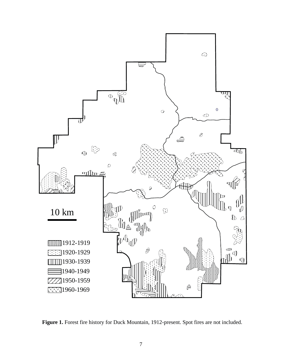

**Figure 1.** Forest fire history for Duck Mountain, 1912-present. Spot fires are not included.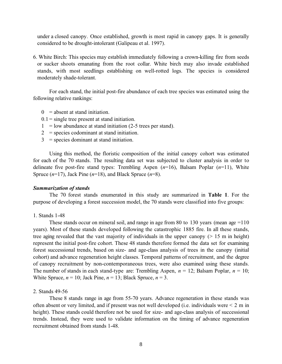under a closed canopy. Once established, growth is most rapid in canopy gaps. It is generally considered to be drought-intolerant (Galipeau et al. 1997).

6. White Birch: This species may establish immediately following a crown-killing fire from seeds or sucker shoots emanating from the root collar. White birch may also invade established stands, with most seedlings establishing on well-rotted logs. The species is considered moderately shade-tolerant.

 For each stand, the initial post-fire abundance of each tree species was estimated using the following relative rankings:

- $0 =$  absent at stand initiation.
- $0.1$  = single tree present at stand initiation.
- $1 =$ low abundance at stand initiation (2-5 trees per stand).
- $2 =$  species codominant at stand initiation.
- 3 = species dominant at stand initiation.

 Using this method, the floristic composition of the initial canopy cohort was estimated for each of the 70 stands. The resulting data set was subjected to cluster analysis in order to delineate five post-fire stand types: Trembling Aspen (*n*=16), Balsam Poplar (*n*=11), White Spruce (*n*=17), Jack Pine (*n*=18), and Black Spruce (*n*=8).

#### *Summarization of stands*

 The 70 forest stands enumerated in this study are summarized in **Table 1**. For the purpose of developing a forest succession model, the 70 stands were classified into five groups:

# 1. Stands 1-48

These stands occur on mineral soil, and range in age from 80 to 130 years (mean age  $=110$ ) years). Most of these stands developed following the catastrophic 1885 fire. In all these stands, tree aging revealed that the vast majority of individuals in the upper canopy  $($  > 15 m in height) represent the initial post-fire cohort. These 48 stands therefore formed the data set for examining forest successional trends, based on size- and age-class analysis of trees in the canopy (initial cohort) and advance regeneration height classes. Temporal patterns of recruitment, and the degree of canopy recruitment by non-contemporaneous trees, were also examined using these stands. The number of stands in each stand-type are: Trembling Aspen,  $n = 12$ ; Balsam Poplar,  $n = 10$ ; White Spruce,  $n = 10$ ; Jack Pine,  $n = 13$ ; Black Spruce,  $n = 3$ .

#### 2. Stands 49-56

 These 8 stands range in age from 55-70 years. Advance regeneration in these stands was often absent or very limited, and if present was not well developed (i.e. individuals were < 2 m in height). These stands could therefore not be used for size- and age-class analysis of successional trends. Instead, they were used to validate information on the timing of advance regeneration recruitment obtained from stands 1-48.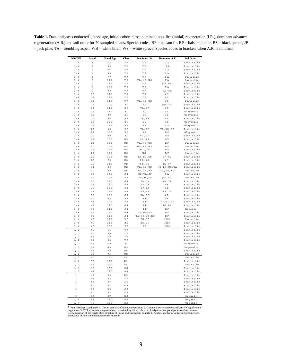Table 1. Data analyses conducted<sup>1</sup>, stand age, initial cohort class, dominant post-fire (initial) regeneration (I.R.), dominant advance regeneration (A.R.) and soil order for 70 sampled stands. Species codes: BF = balsam fir, BP = balsam poplar, BS = black spruce, JP = jack pine, TA = trembling aspen, WB = white birch, WS = white spruce. Species codes in brackets when A.R. is minimal.

| <b>Analyses</b>               | <b>Stand</b>            | <b>Stand Age</b> | Class      | Dominant I.R.            | Dominant A.R.     | Soil Order               |
|-------------------------------|-------------------------|------------------|------------|--------------------------|-------------------|--------------------------|
| $1 - 6$                       | $\mathbf 1$             | 65               | T A        | T A                      | T A               | Brunisolic               |
| $1 - 6$                       | $\overline{\mathbf{c}}$ | 85               | T A        | T A                      | T A               | Brunisolic               |
| $1 - 6$                       | 3                       | 75               | T A        | T A                      | T A               | Brunisolic               |
| $1 - 6$                       | 4                       | 85               | T A        | T A                      | T A               | Brunisolic               |
| $1 - 6$                       | 5                       | 90               | T A        | T A                      | T A               | Luvisolic                |
| $1 - 6$                       | 6                       | 115              | T A        | TA, WB, WS               | T A               | Luvisolic                |
| $1 - 6$                       | $\overline{7}$          | 115              | T A        | T A                      | (TA, BP)          | Brunisolic               |
| $1 - 6$                       | 8                       | 100              | T A        | T A                      | T A               | Brunisolic               |
| $1 - 6$                       | 9                       | 90               | T A        | T A                      | WS, TA            | Brunisolic               |
| $1 - 6$                       | 10                      | 115              | T A        | T A                      | W S               | Brunisolic               |
| $1 - 6$                       | 11                      | 115              | T A        | ТA                       | WS                | Brunisolic               |
| $1 - 6$                       | 12                      | 115              | T A        | TA, WB, WS               | W S               | Luvisolic                |
| $1 - 6$                       | 13                      | 100              | B P        | B P                      | (BP, TA)          | Brunisolic               |
| $1 - 6$<br>$1 - 6$            | 14<br>1.5               | 115              | B P        | TA, BP<br>B <sub>P</sub> | W S               | Brunisolic               |
| $1 - 6$                       | 16                      | 110<br>80        | B P<br>B P | B P                      | W S<br>W S        | Gleysolic<br>Gleysolic   |
| $1 - 6$                       | 17                      | 85               | B P        | TA, BP                   | W S               | Brunisolic               |
| $1 - 6$                       | 18                      | 105              | B P        | B P                      | W S               | Gleysolic                |
| $1 - 6$                       | 19                      | 115              | <b>BP</b>  | B P                      | T A               | Gleysolic                |
| $1 - 6$                       | 20                      | 95               | <b>BP</b>  | TA, BP                   | TA, WB, BS        | Brunisolic               |
| $1 - 6$                       | 21                      | 130              | B P        | B P                      | B F               | Gleysolic                |
| $1 - 6$                       | 22                      | 90               | B P        | WB, BP                   | B F               | Brunisolic               |
| $1 - 6$                       | 23                      | 150              | W S        | TA, WS                   | B F               | Brunisolic               |
| $1 - 6$                       | 24                      | 150              | WS         | TA, WB, WS               | ВF                | Luvisolic                |
| $1 - 6$                       | 25                      | 105              | W S        | WS, TA, WS               | ВF                | Luvisolic                |
| $1 - 6$                       | 26                      | 145              | W S        | WS , TA                  | ВF                | Brunisolic               |
| $1 - 6$                       | 27                      | 115              | W S        | W S                      | B F               | Luvisolic                |
| $1 - 6$                       | 28                      | 100              | WS         | TA, BP, WS               | BF, WS            | Brunisolic               |
| $1 - 6$                       | 29                      | 75               | W S        | TA, WS                   | W S               | Brunisolic               |
| $1 - 6$                       | 30                      | 110              | W S        | WB, WS                   | BF, TA            | Brunisolic               |
| $1 - 6$                       | 31                      | 80               | W S        | TA, WB, WS               | WB, BF, WS, TA    | Brunisolic               |
| $1 - 6$                       | 32                      | 90               | WS         | WS, TA, BP               | TA, BF, WS        | Luvisolic                |
| $1 - 6$                       | 33                      | 105              | J P        | BS, TA, JP               | T A               | Brunisolic               |
| $1 - 6$                       | 34                      | 105              | J P        | JP, BS, TA               | (TA, BS)          | Luvisolic                |
| $1 - 6$<br>$1 - 6$            | 35<br>36                | 110<br>110       | J P<br>JP  | TA, JP<br>TA, JP         | WB, TA<br>WВ      | Brunisolic<br>Brunisolic |
| $1 - 6$                       | 37                      | 105              | J P        | JP, TA                   | WВ                | Brunisolic               |
| $1 - 6$                       | 38                      | 115              | J P        | JP, BS                   | (WB, TA)          | Brunisolic               |
| $1 - 6$                       | 39                      | 105              | J P        | TA, JP                   | W <sub>B</sub>    | Brunisolic               |
| $1 - 6$                       | 40                      | 95               | J P        | J P                      | WВ                | Brunisolic               |
| $1 - 6$                       | 41                      | 105              | J P        | J P                      | BF, WS, BS        | Brunisolic               |
| $1 - 6$                       | 42                      | 110              | J P        | J P                      | BF, BS            | Brunisolic               |
| $1 - 6$                       | 43                      | 110              | J P        | J P                      | ВF                | Regosol                  |
| $1 - 6$                       | $4\;4$                  | 110              | J P        | TA, WS, JP               | $\, {\bf B} \,$ F | Brunisolic               |
| $1 - 6$                       | 45                      | 120              | JP         | TA, WS, JP, BS           | ВF                | Brunisolic               |
| $1 - 6$                       | 46                      | 110              | B S        | BS, JP                   | (BS)              | Luvisolic                |
| $1 - 6$                       | 47                      | 110              | <b>BS</b>  | BS, JP                   | (BS)              | Brunisolic               |
| $1 - 6$                       | 48                      | 105              | B S        | вs                       | (BS)              | Brunisolic               |
| 1,<br>$\sqrt{2}$              | 49                      | 55               | T A        |                          |                   | Brunisolic               |
| 1,<br>$\sqrt{2}$              | 50                      | 60               | T A        |                          |                   | Brunisolic               |
| $\overline{2}$<br>1,          | 51                      | 60               | T A        |                          |                   | Brunisolic               |
| $\sqrt{2}$<br>1,              | 52                      | 65               | ТA         |                          |                   | Brunisolic               |
| 1,<br>$\sqrt{2}$              | 53                      | 60               | B P        |                          |                   | Gleysolic                |
| 1,<br>$\sqrt{2}$              | 54                      | 60               | W S        |                          |                   | Regosolic                |
| 1,<br>$\overline{\mathbf{2}}$ | 55                      | 70               | W S        |                          |                   | Brunisolic               |
| ı,<br>2                       | 56                      | 75<br>150        | WS         |                          |                   | Luvisolic                |
| ı,<br>$\sqrt{2}$              | 57                      |                  | W S        |                          |                   | Luvisolic                |
| 1.<br>$\overline{2}$          | 58<br>59                | 170<br>220       | W S<br>WS  |                          |                   | Brunisolic<br>Luvisolic  |
| 1, 2                          |                         |                  |            |                          |                   | Brunisolic               |
| 1, 2<br>$\sqrt{2}$<br>1,      | 60<br>61                | 155<br>110       | B S<br>вs  |                          |                   | Brunisolic               |
| $\mathbf 1$                   | 62                      | 38               | W S        |                          |                   | Brunisolic               |
| $\mathbf 1$                   | 63                      | 37               | J P        |                          |                   | Brunisolic               |
| $\mathbf{1}$                  | 64                      | 37               | JP         |                          |                   | Brunisolic               |
| $\mathbf{1}$                  | 65                      | 37               | J P        |                          |                   | Brunisolic               |
| $\mathbf 1$                   | 66                      | 38               | JP         |                          |                   | Brunisolic               |
| $\mathbf 1$                   | 67                      | 38               | J P        |                          |                   | Brunisolic               |
| 1                             | 68                      | 37               | B S        |                          |                   | Organic                  |
| 1, 4                          | 69                      | 110              | B S        |                          |                   | Organic                  |
| 1, 4                          | 70                      | 165              | ΒS         |                          |                   | Organic                  |

<sup>1</sup> Data Analyses Conducted: 1. Cluster analysis of initial composition, 2. Canonical corresponence analysis (CCA) of extant vegetation, 3. CCA of advance regeneration constrained by initial cohort, 4. Analyses of temporal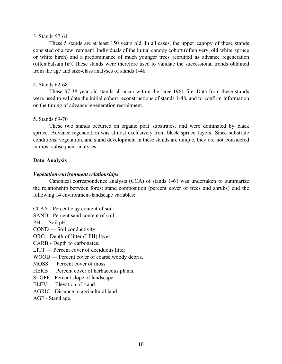#### 3. Stands 57-61

 These 5 stands are at least 150 years old. In all cases, the upper canopy of these stands consisted of a few remnant individuals of the initial canopy cohort (often very old white spruce or white birch) and a predominance of much younger trees recruited as advance regeneration (often balsam fir). These stands were therefore used to validate the successional trends obtained from the age and size-class analyses of stands 1-48.

# 4. Stands 62-68

 These 37-38 year old stands all occur within the large 1961 fire. Data from these stands were used to validate the initial cohort reconstructions of stands 1-48, and to confirm information on the timing of advance regeneration recruitment.

# 5. Stands 69-70

 These two stands occurred on organic peat substrates, and were dominated by black spruce. Advance regeneration was almost exclusively from black spruce layers. Since substrate conditions, vegetation, and stand development in these stands are unique, they are not considered in most subsequent analyses.

# **Data Analysis**

# *Vegetation-environment relationships*

 Canonical correspondence analysis (CCA) of stands 1-61 was undertaken to summarize the relationship between forest stand composition (percent cover of trees and shrubs) and the following 14 environment-landscape variables:

CLAY - Percent clay content of soil.

SAND - Percent sand content of soil.

 $PH$  — Soil pH.

COND — Soil conductivity.

ORG - Depth of litter (LFH) layer.

CARB - Depth to carbonates.

LITT — Percent cover of deciduous litter.

WOOD — Percent cover of coarse woody debris.

MOSS — Percent cover of moss.

HERB — Percent cover of herbaceous plants.

SLOPE - Percent slope of landscape.

ELEV — Elevation of stand.

AGRIC - Distance to agricultural land.

AGE - Stand age.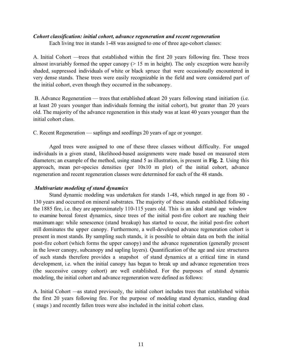# *Cohort classification: initial cohort, advance regeneration and recent regeneration*

Each living tree in stands 1-48 was assigned to one of three age-cohort classes:

A. Initial Cohort — trees that established within the first 20 years following fire. These trees almost invariably formed the upper canopy  $(> 15 \text{ m}$  in height). The only exception were heavily shaded, suppressed individuals of white or black spruce that were occasionally encountered in very dense stands. These trees were easily recognizable in the field and were considered part of the initial cohort, even though they occurred in the subcanopy.

B. Advance Regeneration — trees that established at east 20 years following stand initiation (i.e. at least 20 years younger than individuals forming the initial cohort), but greater than 20 years old. The majority of the advance regeneration in this study was at least 40 years younger than the initial cohort class.

C. Recent Regeneration — saplings and seedlings 20 years of age or younger.

 Aged trees were assigned to one of these three classes without difficulty. For unaged individuals in a given stand, likelihood-based assignments were made based on measured stem diameters; an example of the method, using stand 5 as illustration, is present in **Fig. 2**. Using this approach, mean per-species densities (per 10x10 m plot) of the initial cohort, advance regeneration and recent regeneration classes were determined for each of the 48 stands.

# *Multivariate modeling of stand dynamics*

 Stand dynamic modeling was undertaken for stands 1-48, which ranged in age from 80 - 130 years and occurred on mineral substrates. The majority of these stands established following the 1885 fire, i.e. they are approximately 110-115 years old. This is an ideal stand age window to examine boreal forest dynamics, since trees of the initial post-fire cohort are reaching their maximum age: while senescence (stand breakup) has started to occur, the initial post-fire cohort still dominates the upper canopy. Furthermore, a well-developed advance regeneration cohort is present in most stands. By sampling such stands, it is possible to obtain data on both the initial post-fire cohort (which forms the upper canopy) and the advance regeneration (generally present in the lower canopy, subcanopy and sapling layers). Quantification of the age and size structures of such stands therefore provides a snapshot of stand dynamics at a critical time in stand development, i.e. when the initial canopy has begun to break up and advance regeneration trees (the successive canopy cohort) are well established. For the purposes of stand dynamic modeling, the initial cohort and advance regeneration were defined as follows:

A. Initial Cohort —as stated previously, the initial cohort includes trees that established within the first 20 years following fire. For the purpose of modeling stand dynamics, standing dead ( snags ) and recently fallen trees were also included in the initial cohort class.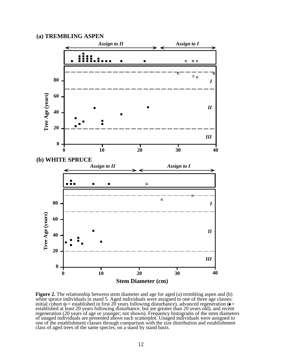# **(a) TREMBLING ASPEN**



**Figure 2.** The relationship between stem diameter and age for aged (a) trembling aspen and (b) white spruce individuals in stand 5. Aged individuals were assigned to one of three age classes: initial cohort ( $\sigma$  = established in first 20 years following disturbance), advanced regeneration ( $\blacksquare$ established at least 20 years following disturbance, but are greater than 20 years old), and recent regeneration (20 years of age or younger; not shown). Frequency histograms of the stem diameters of unaged individuals are presented above each scatterplot. Unaged individuals were assigned to one of the establishment classes through comparison with the size distribution and establishment class of aged trees of the same species, on a stand by stand basis.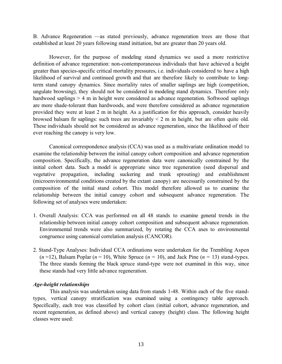B. Advance Regeneration — as stated previously, advance regeneration trees are those that established at least 20 years following stand initiation, but are greater than 20 years old.

However, for the purpose of modeling stand dynamics we used a more restrictive definition of advance regeneration: non-contemporaneous individuals that have achieved a height greater than species-specific critical mortality pressures, i.e. individuals considered to have a high likelihood of survival and continued growth and that are therefore likely to contribute to longterm stand canopy dynamics. Since mortality rates of smaller saplings are high (competition, ungulate browsing), they should not be considered in modeling stand dynamics. Therefore only hardwood saplings > 4 m in height were considered as advance regeneration. Softwood saplings are more shade-tolerant than hardwoods, and were therefore considered as advance regeneration provided they were at least 2 m in height. As a justification for this approach, consider heavily browsed balsam fir saplings: such trees are invariably < 2 m in height, but are often quite old. These individuals should not be considered as advance regeneration, since the likelihood of their ever reaching the canopy is very low.

 Canonical correspondence analysis (CCA) was used as a multivariate ordination model to examine the relationship between the initial canopy cohort composition and advance regeneration composition. Specifically, the advance regeneration data were canonically constrained by the initial cohort data. Such a model is appropriate since tree regeneration (seed dispersal and vegetative propagation, including suckering and trunk sprouting) and establishment (microenvironmental conditions created by the extant canopy) are necessarily constrained by the composition of the initial stand cohort. This model therefore allowed us to examine the relationship between the initial canopy cohort and subsequent advance regeneration. The following set of analyses were undertaken:

- 1. Overall Analysis: CCA was performed on all 48 stands to examine general trends in the relationship between initial canopy cohort composition and subsequent advance regeneration. Environmental trends were also summarized, by rotating the CCA axes to environmental congruence using canonical correlation analysis (CANCOR).
- 2. Stand-Type Analyses: Individual CCA ordinations were undertaken for the Trembling Aspen  $(n=12)$ , Balsam Poplar  $(n=10)$ , White Spruce  $(n=10)$ , and Jack Pine  $(n=13)$  stand-types. The three stands forming the black spruce stand-type were not examined in this way, since these stands had very little advance regeneration.

# *Age-height relationships*

This analysis was undertaken using data from stands 1-48. Within each of the five standtypes, vertical canopy stratification was examined using a contingency table approach. Specifically, each tree was classified by cohort class (initial cohort, advance regeneration, and recent regeneration, as defined above) and vertical canopy (height) class. The following height classes were used: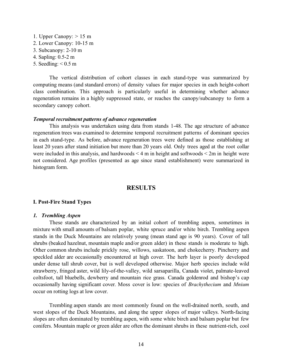1. Upper Canopy: > 15 m 2. Lower Canopy: 10-15 m 3. Subcanopy: 2-10 m 4. Sapling: 0.5-2 m 5. Seedling:  $< 0.5$  m

 The vertical distribution of cohort classes in each stand-type was summarized by computing means (and standard errors) of density values for major species in each height-cohort class combination. This approach is particularly useful in determining whether advance regeneration remains in a highly suppressed state, or reaches the canopy/subcanopy to form a secondary canopy cohort.

#### *Temporal recruitment patterns of advance regeneration*

 This analysis was undertaken using data from stands 1-48. The age structure of advance regeneration trees was examined to determine temporal recruitment patterns of dominant species in each stand-type. As before, advance regeneration trees were defined as those establishing at least 20 years after stand initiation but more than 20 years old. Only trees aged at the root collar were included in this analysis, and hardwoods  $\leq 4$  m in height and softwoods  $\leq 2m$  in height were not considered. Age profiles (presented as age since stand establishment) were summarized in histogram form.

# **RESULTS**

# **I. Post-Fire Stand Types**

#### *1. Trembling Aspen*

 These stands are characterized by an initial cohort of trembling aspen, sometimes in mixture with small amounts of balsam poplar, white spruce and/or white birch. Trembling aspen stands in the Duck Mountains are relatively young (mean stand age is 90 years). Cover of tall shrubs (beaked hazelnut, mountain maple and/or green alder) in these stands is moderate to high. Other common shrubs include prickly rose, willows, saskatoon, and chokecherry. Pincherry and speckled alder are occasionally encountered at high cover. The herb layer is poorly developed under dense tall shrub cover, but is well developed otherwise. Major herb species include wild strawberry, fringed aster, wild lily-of-the-valley, wild sarsaparilla, Canada violet, palmate-leaved coltsfoot, tall bluebells, dewberry and mountain rice grass. Canada goldenrod and bishop's cap occasionally having significant cover. Moss cover is low: species of *Brachythecium* and *Mnium* occur on rotting logs at low cover.

 Trembling aspen stands are most commonly found on the well-drained north, south, and west slopes of the Duck Mountains, and along the upper slopes of major valleys. North-facing slopes are often dominated by trembling aspen, with some white birch and balsam poplar but few conifers. Mountain maple or green alder are often the dominant shrubs in these nutrient-rich, cool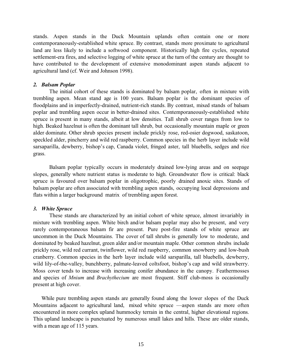stands. Aspen stands in the Duck Mountain uplands often contain one or more contemporaneously-established white spruce. By contrast, stands more proximate to agricultural land are less likely to include a softwood component. Historically high fire cycles, repeated settlement-era fires, and selective logging of white spruce at the turn of the century are thought to have contributed to the development of extensive monodominant aspen stands adjacent to agricultural land (cf. Weir and Johnson 1998).

# *2. Balsam Poplar*

 The initial cohort of these stands is dominated by balsam poplar, often in mixture with trembling aspen. Mean stand age is 100 years. Balsam poplar is the dominant species of floodplains and in imperfectly-drained, nutrient-rich stands. By contrast, mixed stands of balsam poplar and trembling aspen occur in better-drained sites. Contemporaneously-established white spruce is present in many stands, albeit at low densities. Tall shrub cover ranges from low to high. Beaked hazelnut is often the dominant tall shrub, but occasionally mountain maple or green alder dominate. Other shrub species present include prickly rose, red-osier dogwood, saskatoon, speckled alder, pincherry and wild red raspberry. Common species in the herb layer include wild sarsaparilla, dewberry, bishop's cap, Canada violet, fringed aster, tall bluebells, sedges and rice grass.

 Balsam poplar typically occurs in moderately drained low-lying areas and on seepage slopes, generally where nutrient status is moderate to high. Groundwater flow is critical: black spruce is favoured over balsam poplar in oligotrophic, poorly drained anoxic sites. Stands of balsam poplar are often associated with trembling aspen stands, occupying local depressions and flats within a larger background matrix of trembling aspen forest.

# *3. White Spruce*

 These stands are characterized by an initial cohort of white spruce, almost invariably in mixture with trembling aspen. White birch and/or balsam poplar may also be present, and very rarely contemporaneous balsam fir are present. Pure post-fire stands of white spruce are uncommon in the Duck Mountains. The cover of tall shrubs is generally low to moderate, and dominated by beaked hazelnut, green alder and/or mountain maple. Other common shrubs include prickly rose, wild red currant, twinflower, wild red raspberry, common snowberry and low-bush cranberry. Common species in the herb layer include wild sarsparilla, tall bluebells, dewberry, wild lily-of-the-valley, bunchberry, palmate-leaved coltsfoot, bishop's cap and wild strawberry. Moss cover tends to increase with increasing conifer abundance in the canopy. Feathermosses and species of *Mnium* and *Brachythecium* are most frequent. Stiff club-moss is occasionally present at high cover.

While pure trembling aspen stands are generally found along the lower slopes of the Duck Mountains adjacent to agricultural land, mixed white spruce — aspen stands are more often encountered in more complex upland hummocky terrain in the central, higher elevational regions. This upland landscape is punctuated by numerous small lakes and hills. These are older stands, with a mean age of 115 years.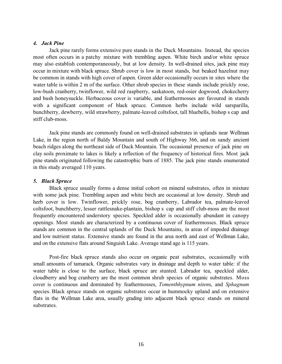# *4. Jack Pine*

 Jack pine rarely forms extensive pure stands in the Duck Mountains. Instead, the species most often occurs in a patchy mixture with trembling aspen. White birch and/or white spruce may also establish contemporaneously, but at low density. In well-drained sites, jack pine may occur in mixture with black spruce. Shrub cover is low in most stands, but beaked hazelnut may be common in stands with high cover of aspen. Green alder occasionally occurs in sites where the water table is within 2 m of the surface. Other shrub species in these stands include prickly rose, low-bush cranberry, twinflower, wild red raspberry, saskatoon, red-osier dogwood, chokecherry and bush honeysuckle. Herbaceous cover is variable, and feathermosses are favoured in stands with a significant component of black spruce. Common herbs include wild sarsparilla, bunchberry, dewberry, wild strawberry, palmate-leaved coltsfoot, tall bluebells, bishop s cap and stiff club-moss.

 Jack pine stands are commonly found on well-drained substrates in uplands near Wellman Lake, in the region north of Baldy Mountain and south of Highway 366, and on sandy ancient beach ridges along the northeast side of Duck Mountain. The occasional presence of jack pine on clay soils proximate to lakes is likely a reflection of the frequency of historical fires. Most jack pine stands originated following the catastrophic burn of 1885. The jack pine stands enumerated in this study averaged 110 years.

# *5. Black Spruce*

 Black spruce usually forms a dense initial cohort on mineral substrates, often in mixture with some jack pine. Trembling aspen and white birch are occasional at low density. Shrub and herb cover is low. Twinflower, prickly rose, bog cranberry, Labrador tea, palmate-leaved coltsfoot, bunchberry, lesser rattlesnake-plantain, bishop s cap and stiff club-moss are the most frequently encountered understory species. Speckled alder is occasionally abundant in canopy openings. Most stands are characterized by a continuous cover of feathermosses. Black spruce stands are common in the central uplands of the Duck Mountains, in areas of impeded drainage and low nutrient status. Extensive stands are found in the area north and east of Wellman Lake, and on the extensive flats around Singuish Lake. Average stand age is 115 years.

 Post-fire black spruce stands also occur on organic peat substrates, occasionally with small amounts of tamarack. Organic substrates vary in drainage and depth to water table: if the water table is close to the surface, black spruce are stunted. Labrador tea, speckled alder, cloudberry and bog cranberry are the most common shrub species of organic substrates. Moss cover is continuous and dominated by feathermosses, *Tomenthhypnum niten*s, and *Sphagnum* species. Black spruce stands on organic substrates occur in hummocky upland and on extensive flats in the Wellman Lake area, usually grading into adjacent black spruce stands on mineral substrates.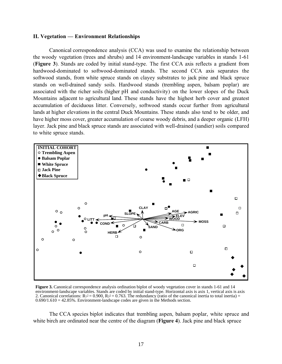#### **II. Vegetation — Environment Relationships**

 Canonical correspondence analysis (CCA) was used to examine the relationship between the woody vegetation (trees and shrubs) and 14 environment-landscape variables in stands 1-61 (**Figure 3**). Stands are coded by initial stand-type. The first CCA axis reflects a gradient from hardwood-dominated to softwood-dominated stands. The second CCA axis separates the softwood stands, from white spruce stands on clayey substrates to jack pine and black spruce stands on well-drained sandy soils. Hardwood stands (trembling aspen, balsam poplar) are associated with the richer soils (higher pH and conductivity) on the lower slopes of the Duck Mountains adjacent to agricultural land. These stands have the highest herb cover and greatest accumulation of deciduous litter. Conversely, softwood stands occur further from agricultural lands at higher elevations in the central Duck Mountains. These stands also tend to be older, and have higher moss cover, greater accumulation of coarse woody debris, and a deeper organic (LFH) layer. Jack pine and black spruce stands are associated with well-drained (sandier) soils compared to white spruce stands.



**Figure 3.** Canonical correspondence analysis ordination biplot of woody vegetation cover in stands 1-61 and 14 environment-landscape variables. Stands are coded by initial stand-type. Horizontal axis is axis 1, vertical axis is axis 2. Canonical correlations:  $R_1^2 = 0.900$ ,  $R_2^2 = 0.763$ . The redundancy (ratio of the canonical inertia to total inertia) =  $0.690/1.610 = 42.85\%$ . Environment-landscape codes are given in the Methods section.

The CCA species biplot indicates that trembling aspen, balsam poplar, white spruce and white birch are ordinated near the centre of the diagram (**Figure 4**). Jack pine and black spruce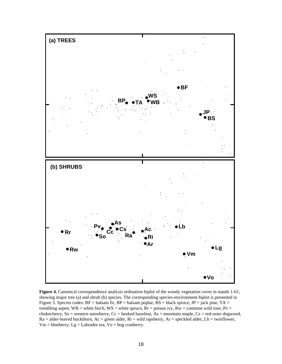

**Figure 4.** Canonical correspondence analysis ordination biplot of the woody vegetation cover in stands 1-61, showing major tree (a) and shrub (b) species. The corresponding species-environment biplot is presented in Figure 3. Species codes:  $BF = balsam$  fir,  $BP = balsam$  poplar,  $BS = black$  spruce,  $JP = jack$  pine,  $TA =$ trembling aspen, WB = white birch, WS = white spruce,  $Rr =$  poison ivy,  $Rw =$  common wild rose,  $Pv =$ chokecherry, So = western snowberry, Cc = beaked hazelnut, As = mountain maple, Cs = red-osier dogwood,  $Ra =$  alder-leaved buckthorn,  $Ac =$  green alder,  $Ri =$  wild rapsberry,  $Ar =$  speckled alder,  $Lb =$  twinflower,  $Vm = blueberry$ ,  $Lg = Labrador tea$ ,  $Vo = bog$  cranberry.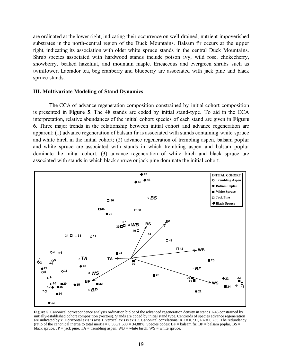are ordinated at the lower right, indicating their occurrence on well-drained, nutrient-impoverished substrates in the north-central region of the Duck Mountains. Balsam fir occurs at the upper right, indicating its association with older white spruce stands in the central Duck Mountains. Shrub species associated with hardwood stands include poison ivy, wild rose, chokecherry, snowberry, beaked hazelnut, and mountain maple. Ericaceous and evergreen shrubs such as twinflower, Labrador tea, bog cranberry and blueberry are associated with jack pine and black spruce stands.

#### **III. Multivariate Modeling of Stand Dynamics**

 The CCA of advance regeneration composition constrained by initial cohort composition is presented in **Figure 5**. The 48 stands are coded by initial stand-type. To aid in the CCA interpretation, relative abundances of the initial cohort species of each stand are given in **Figure 6**. Three major trends in the relationship between initial cohort and advance regeneration are apparent: (1) advance regeneration of balsam fir is associated with stands containing white spruce and white birch in the initial cohort; (2) advance regeneration of trembling aspen, balsam poplar and white spruce are associated with stands in which trembling aspen and balsam poplar dominate the initial cohort; (3) advance regeneration of white birch and black spruce are associated with stands in which black spruce or jack pine dominate the initial cohort.



**Figure 5.** Canonical correspondence analysis ordination biplot of the advanced regeneration density in stands 1-48 constrained by initially-established cohort composition (vectors). Stands are coded by initial stand type. Centroids of species advance regeneration are indicated by x. Horizontal axis is axis 1, vertical axis is axis 2. Canonical correlations:  $R_1^2 = 0.731$ ,  $R_2^2 = 0.735$ . The redundancy (ratio of the canonical inertia to total inertia =  $0.586/1.680 = 34.88\%$ . Species codes: BF = balsam fir, BP = balsam poplar, BS = black spruce,  $JP =$  jack pine,  $TA =$  trembling aspen,  $WB =$  white birch,  $WS =$  white spruce.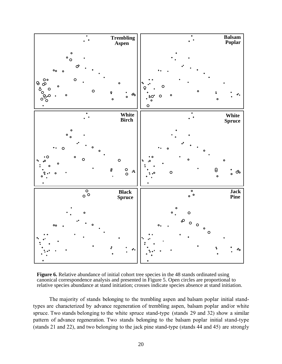

**Figure 6.** Relative abundance of initial cohort tree species in the 48 stands ordinated using canonical correspondence analysis and presented in Figure 5. Open circles are proportional to relative species abundance at stand initiation; crosses indicate species absence at stand initiation.

The majority of stands belonging to the trembling aspen and balsam poplar initial standtypes are characterized by advance regeneration of trembling aspen, balsam poplar and/or white spruce. Two stands belonging to the white spruce stand-type (stands 29 and 32) show a similar pattern of advance regeneration. Two stands belonging to the balsam poplar initial stand-type (stands 21 and 22), and two belonging to the jack pine stand-type (stands 44 and 45) are strongly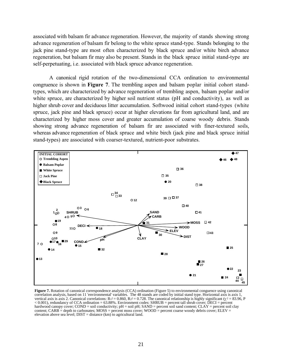associated with balsam fir advance regeneration. However, the majority of stands showing strong advance regeneration of balsam fir belong to the white spruce stand-type. Stands belonging to the jack pine stand-type are most often characterized by black spruce and/or white birch advance regeneration, but balsam fir may also be present. Stands in the black spruce initial stand-type are self-perpetuating, i.e. associated with black spruce advance regeneration.

 A canonical rigid rotation of the two-dimensional CCA ordination to environmental congruence is shown in **Figure 7**. The trembling aspen and balsam poplar initial cohort standtypes, which are characterized by advance regeneration of trembling aspen, balsam poplar and/or white spruce, are characterized by higher soil nutrient status (pH and conductivity), as well as higher shrub cover and deciduous litter accumulation. Softwood initial cohort stand-types (white spruce, jack pine and black spruce) occur at higher elevations far from agricultural land, and are characterized by higher moss cover and greater accumulation of coarse woody debris. Stands showing strong advance regeneration of balsam fir are associated with finer-textured soils, whereas advance regeneration of black spruce and white birch (jack pine and black spruce initial stand-types) are associated with coarser-textured, nutrient-poor substrates.



**Figure 7.** Rotation of canonical correspondence analysis (CCA) ordination (Figure 5) to environmental conguence using canonical correlation analysis, based on 11 'environmental' variables. The 48 stands are coded by initial stand type. Horizontal axis is axis 1, vertical axis is axis 2. Canonical correlations: R<sub>12</sub> = 0.860, R<sub>22</sub> = 0.728. The canonical relationship is highly significant ( $\chi$ <sub>2</sub> = 83.96, P < 0.001), redundancy of CCA ordination = 63.88%. Environment codes: SHRUB = percent tall shrub cover; DECI = percent hardwood canopy cover; COND = soil conductivity; pH = soil pH; SAND = percent soil sand content; CLAY = percent soil clay content; CARB = depth to carbonates; MOSS = percent moss cover; WOOD = percent coarse woody debris cover; ELEV = elevation above sea level;  $DIST = distance (km)$  to agricultural land.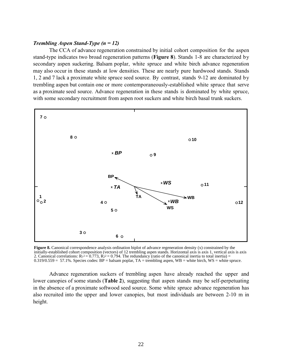# *Trembling Aspen Stand-Type (n = 12)*

 The CCA of advance regeneration constrained by initial cohort composition for the aspen stand-type indicates two broad regeneration patterns (**Figure 8**). Stands 1-8 are characterized by secondary aspen suckering. Balsam poplar, white spruce and white birch advance regeneration may also occur in these stands at low densities. These are nearly pure hardwood stands. Stands 1, 2 and 7 lack a proximate white spruce seed source. By contrast, stands 9-12 are dominated by trembling aspen but contain one or more contemporaneously-established white spruce that serve as a proximate seed source. Advance regeneration in these stands is dominated by white spruce, with some secondary recruitment from aspen root suckers and white birch basal trunk suckers.



**Figure 8.** Canonical correspondence analysis ordination biplot of advance regeneration density (x) constrained by the initially-established cohort composition (vectors) of 12 trembling aspen stands. Horizontal axis is axis 1, vertical axis is axis 2. Canonical correlations:  $R_1^2 = 0.773$ ,  $R_2^2 = 0.794$ . The redundancy (ratio of the canonical inertia to total inertia) =  $0.319/0.559 = 57.1\%$ . Species codes: BP = balsam poplar, TA = trembling aspen, WB = white birch, WS = white spruce.

Advance regeneration suckers of trembling aspen have already reached the upper and lower canopies of some stands (**Table 2**), suggesting that aspen stands may be self-perpetuating in the absence of a proximate softwood seed source. Some white spruce advance regeneration has also recruited into the upper and lower canopies, but most individuals are between 2-10 m in height.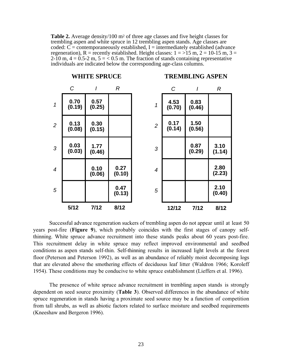**Table 2.** Average density/100 m<sup>2</sup> of three age classes and five height classes for trembling aspen and white spruce in 12 trembling aspen stands. Age classes are coded:  $C =$  contemporaneously established,  $I =$  intermediately established (advance regeneration), R = recently established. Height classes:  $1 = 15$  m,  $2 = 10-15$  m,  $3 = 10$ 2-10 m,  $4 = 0.5$ -2 m,  $5 = 0.5$  m. The fraction of stands containing representative individuals are indicated below the corresponding age-class columns.



Successful advance regeneration suckers of trembling aspen do not appear until at least 50 years post-fire (**Figure 9**), which probably coincides with the first stages of canopy selfthinning. White spruce advance recruitment into these stands peaks about 60 years post-fire. This recruitment delay in white spruce may reflect improved environmental and seedbed conditions as aspen stands self-thin. Self-thinning results in increased light levels at the forest floor (Peterson and Peterson 1992), as well as an abundance of reliably moist decomposing logs that are elevated above the smothering effects of deciduous leaf litter (Waldron 1966; Koroleff 1954). These conditions may be conducive to white spruce establishment (Lieffers et al. 1996).

The presence of white spruce advance recruitment in trembling aspen stands is strongly dependent on seed source proximity (**Table 3**). Observed differences in the abundance of white spruce regeneration in stands having a proximate seed source may be a function of competition from tall shrubs, as well as abiotic factors related to surface moisture and seedbed requirements (Kneeshaw and Bergeron 1996).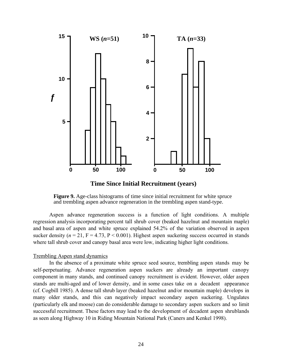

**Time Since Initial Recruitment (years)**

**Figure 9.** Age-class histograms of time since initial recruitment for white spruce and trembling aspen advance regeneration in the trembling aspen stand-type.

Aspen advance regeneration success is a function of light conditions. A multiple regression analysis incorporating percent tall shrub cover (beaked hazelnut and mountain maple) and basal area of aspen and white spruce explained 54.2% of the variation observed in aspen sucker density  $(n = 21, F = 4.73, P < 0.001)$ . Highest aspen suckering success occurred in stands where tall shrub cover and canopy basal area were low, indicating higher light conditions.

#### Trembling Aspen stand dynamics

 In the absence of a proximate white spruce seed source, trembling aspen stands may be self-perpetuating. Advance regeneration aspen suckers are already an important canopy component in many stands, and continued canopy recruitment is evident. However, older aspen stands are multi-aged and of lower density, and in some cases take on a decadent appearance (cf. Cogbill 1985). A dense tall shrub layer (beaked hazelnut and/or mountain maple) develops in many older stands, and this can negatively impact secondary aspen suckering. Ungulates (particularly elk and moose) can do considerable damage to secondary aspen suckers and so limit successful recruitment. These factors may lead to the development of decadent aspen shrublands as seen along Highway 10 in Riding Mountain National Park (Caners and Kenkel 1998).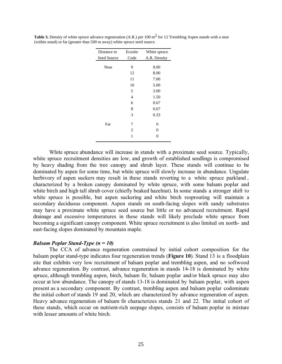| Distance to | Ecosite        | White spruce |
|-------------|----------------|--------------|
| Seed Source | Code           | A.R. Density |
| Near        | 9              | 8.00         |
|             | 12             | 8.00         |
|             | 11             | 7.00         |
|             | 10             | 5.00         |
|             | 5              | 3.00         |
|             | 4              | 1.50         |
|             | 6              | 0.67         |
|             | 8              | 0.67         |
|             | 3              | 0.33         |
| Far         | 7              | 0            |
|             | $\overline{c}$ | 0            |
|             | 1              | 0            |

**Table 3.** Density of white spruce advance regeneration (A.R.) per 100 m<sup>2</sup> for 12 Trembling Aspen stands with a near (within stand) or far (greater than 500 m away) white spruce seed source.

 White spruce abundance will increase in stands with a proximate seed source. Typically, white spruce recruitment densities are low, and growth of established seedlings is compromised by heavy shading from the tree canopy and shrub layer. These stands will continue to be dominated by aspen for some time, but white spruce will slowly increase in abundance. Ungulate herbivory of aspen suckers may result in these stands reverting to a white spruce parkland, characterized by a broken canopy dominated by white spruce, with some balsam poplar and white birch and high tall shrub cover (chiefly beaked hazelnut). In some stands a stronger shift to white spruce is possible, but aspen suckering and white birch resprouting will maintain a secondary deciduous component. Aspen stands on south-facing slopes with sandy substrates may have a proximate white spruce seed source but little or no advanced recruitment. Rapid drainage and excessive temperatures in these stands will likely preclude white spruce from becoming a significant canopy component. White spruce recruitment is also limited on north- and east-facing slopes dominated by mountain maple.

#### *Balsam Poplar Stand-Type (n = 10)*

 The CCA of advance regeneration constrained by initial cohort composition for the balsam poplar stand-type indicates four regeneration trends (**Figure 10**). Stand 13 is a floodplain site that exhibits very low recruitment of balsam poplar and trembling aspen, and no softwood advance regeneration. By contrast, advance regeneration in stands 14-18 is dominated by white spruce, although trembling aspen, birch, balsam fir, balsam poplar and/or black spruce may also occur at low abundance. The canopy of stands 13-18 is dominated by balsam poplar, with aspen present as a secondary component. By contrast, trembling aspen and balsam poplar codominate the initial cohort of stands 19 and 20, which are characterized by advance regeneration of aspen. Heavy advance regeneration of balsam fir characterizes stands 21 and 22. The initial cohort of these stands, which occur on nutrient-rich seepage slopes, consists of balsam poplar in mixture with lesser amounts of white birch.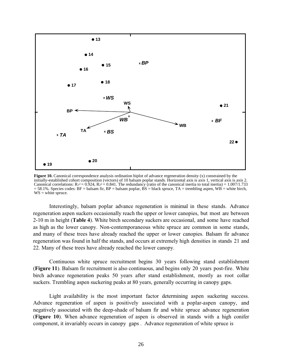

**Figure 10.** Canonical correspondence analysis ordination biplot of advance regeneration density (x) constrained by the initially-established cohort composition (vectors) of 10 balsam poplar stands. Horizontal axis is axis 1, vertical axis is axis 2. Canonical correlations:  $R_1^2 = 0.924$ ,  $R_2^2 = 0.841$ . The redundancy (ratio of the canonical inertia to total inertia) = 1.007/1.733 = 58.1%. Species codes: BF = balsam fir, BP = balsam poplar, BS = black spruce, TA = trembling aspen, WB = white birch,  $WS = white$  spruce.

 Interestingly, balsam poplar advance regeneration is minimal in these stands. Advance regeneration aspen suckers occasionally reach the upper or lower canopies, but most are between 2-10 m in height (**Table 4**). White birch secondary suckers are occasional, and some have reached as high as the lower canopy. Non-contemporaneous white spruce are common in some stands, and many of these trees have already reached the upper or lower canopies. Balsam fir advance regeneration was found in half the stands, and occurs at extremely high densities in stands 21 and 22. Many of these trees have already reached the lower canopy.

Continuous white spruce recruitment begins 30 years following stand establishment (**Figure 11**). Balsam fir recruitment is also continuous, and begins only 20 years post-fire. White birch advance regeneration peaks 50 years after stand establishment, mostly as root collar suckers. Trembling aspen suckering peaks at 80 years, generally occurring in canopy gaps.

Light availability is the most important factor determining aspen suckering success. Advance regeneration of aspen is positively associated with a poplar-aspen canopy, and negatively associated with the deep-shade of balsam fir and white spruce advance regeneration (**Figure 10**). When advance regeneration of aspen is observed in stands with a high conifer component, it invariably occurs in canopy gaps . Advance regeneration of white spruce is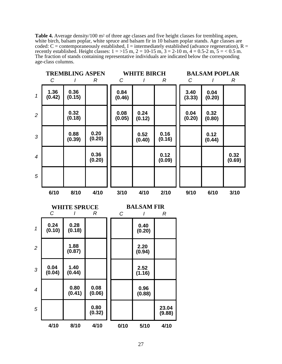**Table 4.** Average density/100 m2 of three age classes and five height classes for trembling aspen, white birch, balsam poplar, white spruce and balsam fir in 10 balsam poplar stands. Age classes are coded:  $C =$  contemporaneously established, I = intermediately established (advance regeneration), R = recently established. Height classes:  $1 = >15$  m,  $2 = 10-15$  m,  $3 = 2-10$  m,  $4 = 0.5-2$  m,  $5 = < 0.5$  m. The fraction of stands containing representative individuals are indicated below the corresponding age-class columns.

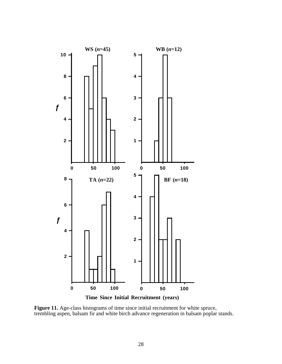

Figure 11. Age-class histograms of time since initial recruitment for white spruce, trembling aspen, balsam fir and white birch advance regeneration in balsam poplar stands.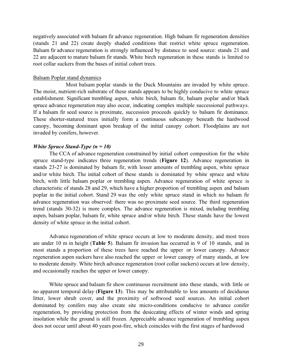negatively associated with balsam fir advance regeneration. High balsam fir regeneration densities (stands 21 and 22) create deeply shaded conditions that restrict white spruce regeneration. Balsam fir advance regeneration is strongly influenced by distance to seed source: stands 21 and 22 are adjacent to mature balsam fir stands. White birch regeneration in these stands is limited to root collar suckers from the bases of initial cohort trees.

# Balsam Poplar stand dynamics

 Most balsam poplar stands in the Duck Mountains are invaded by white spruce. The moist, nutrient-rich substrate of these stands appears to be highly conducive to white spruce establishment. Significant trembling aspen, white birch, balsam fir, balsam poplar and/or black spruce advance regeneration may also occur, indicating complex multiple successional pathways. If a balsam fir seed source is proximate, succession proceeds quickly to balsam fir dominance. These shorter-statured trees initially form a continuous subcanopy beneath the hardwood canopy, becoming dominant upon breakup of the initial canopy cohort. Floodplains are not invaded by conifers, however.

# *White Spruce Stand-Type (n = 10)*

 The CCA of advance regeneration constrained by initial cohort composition for the white spruce stand-type indicates three regeneration trends (**Figure 12**). Advance regeneration in stands 23-27 is dominated by balsam fir, with lesser amounts of trembling aspen, white spruce and/or white birch. The initial cohort of these stands is dominated by white spruce and white birch, with little balsam poplar or trembling aspen. Advance regeneration of white spruce is characteristic of stands 28 and 29, which have a higher proportion of trembling aspen and balsam poplar in the initial cohort. Stand 29 was the only white spruce stand in which no balsam fir advance regeneration was observed: there was no proximate seed source. The third regeneration trend (stands 30-32) is more complex. The advance regeneration is mixed, including trembling aspen, balsam poplar, balsam fir, white spruce and/or white birch. These stands have the lowest density of white spruce in the initial cohort.

 Advance regeneration of white spruce occurs at low to moderate density, and most trees are under 10 m in height (**Table 5**). Balsam fir invasion has occurred in 9 of 10 stands, and in most stands a proportion of these trees have reached the upper or lower canopy. Advance regeneration aspen suckers have also reached the upper or lower canopy of many stands, at low to moderate density. White birch advance regeneration (root collar suckers) occurs at low density, and occasionally reaches the upper or lower canopy.

White spruce and balsam fir show continuous recruitment into these stands, with little or no apparent temporal delay (**Figure 13**). This may be attributable to less amounts of deciduous litter, lower shrub cover, and the proximity of softwood seed sources. An initial cohort dominated by conifers may also create site micro-conditions conducive to advance conifer regeneration, by providing protection from the desiccating effects of winter winds and spring insolation while the ground is still frozen. Appreciable advance regeneration of trembling aspen does not occur until about 40 years post-fire, which coincides with the first stages of hardwood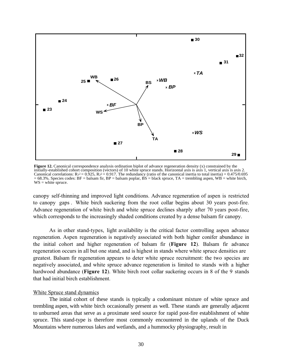

**Figure 12.** Canonical correspondence analysis ordination biplot of advance regeneration density (x) constrained by the initially-established cohort composition (vectors) of 10 white spruce stands. Horizontal axis is axis 1, vertical axis is axis 2. Canonical correlations:  $R_1^2 = 0.925$ ,  $R_2^2 = 0.917$ . The redundancy (ratio of the canonical inertia to total inertia) = 0.475/0.695 = 68.3%. Species codes: BF = balsam fir, BP = balsam poplar, BS = black spruce, TA = trembling aspen, WB = white birch, WS = white spruce.

canopy self-thinning and improved light conditions. Advance regeneration of aspen is restricted to canopy gaps . White birch suckering from the root collar begins about 30 years post-fire. Advance regeneration of white birch and white spruce declines sharply after 70 years post-fire, which corresponds to the increasingly shaded conditions created by a dense balsam fir canopy.

As in other stand-types, light availability is the critical factor controlling aspen advance regeneration. Aspen regeneration is negatively associated with both higher conifer abundance in the initial cohort and higher regeneration of balsam fir (**Figure 12**). Balsam fir advance regeneration occurs in all but one stand, and is highest in stands where white spruce densities are greatest. Balsam fir regeneration appears to deter white spruce recruitment: the two species are negatively associated, and white spruce advance regeneration is limited to stands with a higher hardwood abundance (**Figure 12**). White birch root collar suckering occurs in 8 of the 9 stands that had initial birch establishment.

#### White Spruce stand dynamics

The initial cohort of these stands is typically a codominant mixture of white spruce and trembling aspen, with white birch occasionally present as well. These stands are generally adjacent to unburned areas that serve as a proximate seed source for rapid post-fire establishment of white spruce. This stand-type is therefore most commonly encountered in the uplands of the Duck Mountains where numerous lakes and wetlands, and a hummocky physiography, result in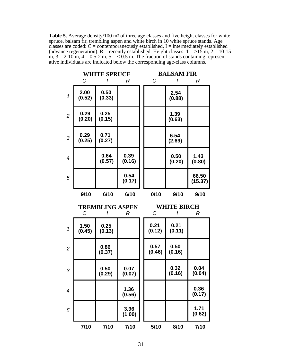Table 5. Average density/100 m<sup>2</sup> of three age classes and five height classes for white spruce, balsam fir, trembling aspen and white birch in 10 white spruce stands. Age classes are coded:  $C =$  contemporaneously established, I = intermediately established (advance regeneration),  $R =$  recently established. Height classes:  $1 = >15$  m,  $2 = 10-15$ m,  $3 = 2-10$  m,  $4 = 0.5-2$  m,  $5 = 0.5$  m. The fraction of stands containing representative individuals are indicated below the corresponding age-class columns.

|                |                | <b>WHITE SPRUCE</b>         |                | <b>BALSAM FIR</b> |                         |                  |
|----------------|----------------|-----------------------------|----------------|-------------------|-------------------------|------------------|
|                | С              | ı                           | R              | C                 | I                       | R                |
| $\mathcal{I}$  | 2.00<br>(0.52) | 0.50<br>(0.33)              |                |                   | 2.54<br>(0.88)          |                  |
| $\overline{c}$ | 0.29<br>(0.20) | 0.25<br>(0.15)              |                |                   | 1.39<br>(0.63)          |                  |
| 3              | 0.29<br>(0.25) | 0.71<br>(0.27)              |                |                   | 6.54<br>(2.69)          |                  |
| $\overline{4}$ |                | 0.64<br>(0.57)              | 0.39<br>(0.16) |                   | 0.50<br>(0.20)          | 1.43<br>(0.80)   |
| 5              |                |                             | 0.54<br>(0.17) |                   |                         | 66.50<br>(15.37) |
|                | 9/10           | 6/10                        | 6/10           | 0/10              | 9/10                    | 9/10             |
|                |                |                             |                |                   |                         |                  |
|                | C              | <b>TREMBLING ASPEN</b><br>I | R              | C                 | <b>WHITE BIRCH</b><br>I | $\mathcal{R}$    |
| $\mathcal{I}$  | 1.50<br>(0.45) | 0.25<br>(0.13)              |                | 0.21<br>(0.12)    | 0.21<br>(0.11)          |                  |
| $\overline{c}$ |                | 0.86<br>(0.37)              |                | 0.57<br>(0.46)    | 0.50<br>(0.16)          |                  |
| 3              |                | 0.50<br>(0.29)              | 0.07<br>(0.07) |                   | 0.32<br>(0.16)          | 0.04<br>(0.04)   |
| $\overline{4}$ |                |                             | 1.36<br>(0.56) |                   |                         | 0.36<br>(0.17)   |
| 5              |                |                             | 3.96<br>(1.00) |                   |                         | 1.71<br>(0.62)   |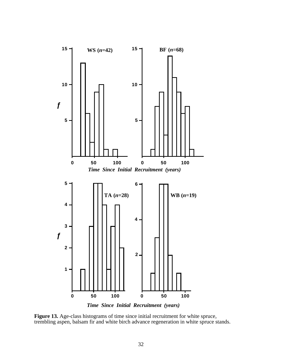

*Time Since Initial Recruitment (years)*

Figure 13. Age-class histograms of time since initial recruitment for white spruce, trembling aspen, balsam fir and white birch advance regeneration in white spruce stands.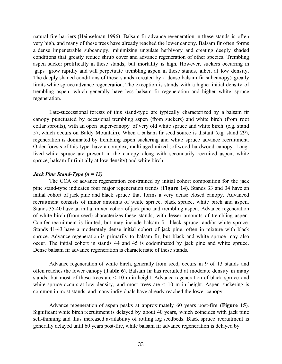natural fire barriers (Heinselman 1996). Balsam fir advance regeneration in these stands is often very high, and many of these trees have already reached the lower canopy. Balsam fir often forms a dense impenetrable subcanopy, minimizing ungulate herbivory and creating deeply shaded conditions that greatly reduce shrub cover and advance regeneration of other species. Trembling aspen sucker prolifically in these stands, but mortality is high. However, suckers occurring in gaps grow rapidly and will perpetuate trembling aspen in these stands, albeit at low density. The deeply shaded conditions of these stands (created by a dense balsam fir subcanopy) greatly limits white spruce advance regeneration. The exception is stands with a higher initial density of trembling aspen, which generally have less balsam fir regeneration and higher white spruce regeneration.

Late-successional forests of this stand-type are typically characterized by a balsam fir canopy punctuated by occasional trembling aspen (from suckers) and white birch (from root collar sprouts), with an open super-canopy of very old white spruce and white birch (e.g. stand 57, which occurs on Baldy Mountain). When a balsam fir seed source is distant (e.g. stand 29), regeneration is dominated by trembling aspen suckering and white spruce advance recruitment. Older forests of this type have a complex, multi-aged mixed softwood-hardwood canopy. Longlived white spruce are present in the canopy along with secondarily recruited aspen, white spruce, balsam fir (initially at low density) and white birch.

#### *Jack Pine Stand-Type (n = 13)*

The CCA of advance regeneration constrained by initial cohort composition for the jack pine stand-type indicates four major regeneration trends (**Figure 14**). Stands 33 and 34 have an initial cohort of jack pine and black spruce that forms a very dense closed canopy. Advanced recruitment consists of minor amounts of white spruce, black spruce, white birch and aspen. Stands 35-40 have an initial mixed cohort of jack pine and trembling aspen. Advance regeneration of white birch (from seed) characterizes these stands, with lesser amounts of trembling aspen. Conifer recruitment is limited, but may include balsam fir, black spruce, and/or white spruce. Stands 41-43 have a moderately dense initial cohort of jack pine, often in mixture with black spruce. Advance regeneration is primarily to balsam fir, but black and white spruce may also occur. The initial cohort in stands 44 and 45 is codominated by jack pine and white spruce. Dense balsam fir advance regeneration is characteristic of these stands.

Advance regeneration of white birch, generally from seed, occurs in 9 of 13 stands and often reaches the lower canopy (**Table 6**). Balsam fir has recruited at moderate density in many stands, but most of these trees are < 10 m in height. Advance regeneration of black spruce and white spruce occurs at low density, and most trees are  $\leq 10$  m in height. Aspen suckering is common in most stands, and many individuals have already reached the lower canopy.

Advance regeneration of aspen peaks at approximately 60 years post-fire (**Figure 15**). Significant white birch recruitment is delayed by about 40 years, which coincides with jack pine self-thinning and thus increased availability of rotting log seedbeds. Black spruce recruitment is generally delayed until 60 years post-fire, while balsam fir advance regeneration is delayed by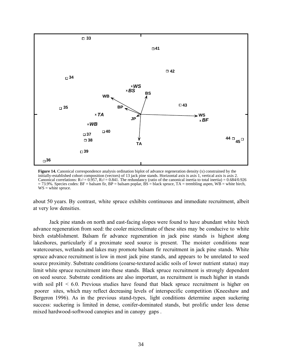

**Figure 14.** Canonical correspondence analysis ordination biplot of advance regeneration density (x) constrained by the initially-established cohort composition (vectors) of 13 jack pine stands. Horizontal axis is axis 1, vertical axis is axis 2. Canonical correlations:  $R_1^2 = 0.957$ ,  $R_2^2 = 0.841$ . The redundancy (ratio of the canonical inertia to total inertia) = 0.684/0.926  $= 73.9\%$ . Species codes: BF = balsam fir, BP = balsam poplar, BS = black spruce, TA = trembling aspen, WB = white birch,  $WS = white$  spruce.

about 50 years. By contrast, white spruce exhibits continuous and immediate recruitment, albeit at very low densities.

 Jack pine stands on north and east-facing slopes were found to have abundant white birch advance regeneration from seed: the cooler microclimate of these sites may be conducive to white birch establishment. Balsam fir advance regeneration in jack pine stands is highest along lakeshores, particularly if a proximate seed source is present. The moister conditions near watercourses, wetlands and lakes may promote balsam fir recruitment in jack pine stands. White spruce advance recruitment is low in most jack pine stands, and appears to be unrelated to seed source proximity. Substrate conditions (coarse-textured acidic soils of lower nutrient status) may limit white spruce recruitment into these stands. Black spruce recruitment is strongly dependent on seed source. Substrate conditions are also important, as recruitment is much higher in stands with soil  $pH < 6.0$ . Previous studies have found that black spruce recruitment is higher on poorer sites, which may reflect decreasing levels of interspecific competition (Kneeshaw and Bergeron 1996). As in the previous stand-types, light conditions determine aspen suckering success: suckering is limited in dense, conifer-dominated stands, but prolific under less dense mixed hardwood-softwood canopies and in canopy gaps .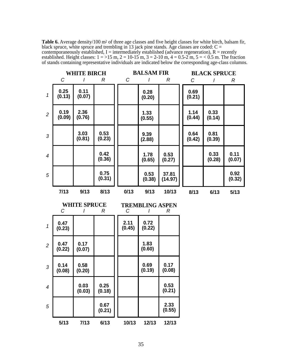**Table 6.** Average density/100 m2 of three age classes and five height classes for white birch, balsam fir, black spruce, white spruce and trembling in 13 jack pine stands. Age classes are coded:  $C =$ contemporaneously established,  $I =$  intermediately established (advance regeneration),  $R =$  recently established. Height classes:  $1 = 515$  m,  $2 = 10-15$  m,  $3 = 2-10$  m,  $4 = 0.5-2$  m,  $5 = 0.5$  m. The fraction of stands containing representative individuals are indicated below the corresponding age-class columns.

|                | C              | <b>WHITE BIRCH</b>       | R                | $\mathcal C$   | <b>BALSAM FIR</b><br>I      | R                | C              | <b>BLACK SPRUCE</b><br>I | R              |
|----------------|----------------|--------------------------|------------------|----------------|-----------------------------|------------------|----------------|--------------------------|----------------|
| $\mathbf{1}$   | 0.25<br>(0.13) | 0.11<br>(0.07)           |                  |                | 0.28<br>(0.20)              |                  | 0.69<br>(0.21) |                          |                |
| $\overline{2}$ | 0.19<br>(0.09) | 2.36<br>(0.76)           |                  |                | 1.33<br>(0.55)              |                  | 1.14<br>(0.44) | 0.33<br>(0.14)           |                |
| 3              |                | 3.03<br>(0.81)           | 0.53<br>(0.23)   |                | 9.39<br>(2.88)              |                  | 0.64<br>(0.42) | 0.81<br>(0.39)           |                |
| $\overline{4}$ |                |                          | 0.42<br>(0.36)   |                | 1.78<br>(0.65)              | 0.53<br>(0.27)   |                | 0.33<br>(0.28)           | 0.11<br>(0.07) |
| 5              |                |                          | 0.75<br>(0.31)   |                | 0.53<br>(0.38)              | 37.81<br>(14.97) |                |                          | 0.92<br>(0.32) |
|                | 7/13           | 9/13                     | 8/13             | 0/13           | 9/13                        | 10/13            | 8/13           | 6/13                     | 5/13           |
|                |                |                          |                  |                |                             |                  |                |                          |                |
|                | C              | <b>WHITE SPRUCE</b><br>I | $\boldsymbol{R}$ | C              | <b>TREMBLING ASPEN</b><br>I | R                |                |                          |                |
| 1              | 0.47<br>(0.23) |                          |                  | 2.11<br>(0.45) | 0.72<br>(0.22)              |                  |                |                          |                |
| $\overline{2}$ | 0.47<br>(0.22) | 0.17<br>(0.07)           |                  |                | 1.83<br>(0.60)              |                  |                |                          |                |
| 3              | 0.14<br>(0.08) | 0.58<br>(0.20)           |                  |                | 0.69<br>(0.19)              | 0.17<br>(0.08)   |                |                          |                |
| $\overline{4}$ |                | 0.03<br>(0.03)           | 0.25<br>(0.18)   |                |                             | 0.53<br>(0.21)   |                |                          |                |
| 5              |                |                          | 0.67<br>(0.21)   |                |                             | 2.33<br>(0.55)   |                |                          |                |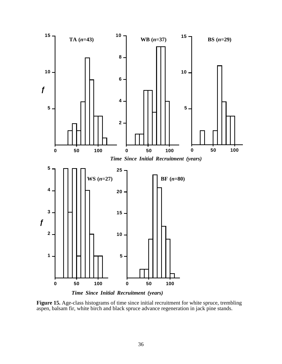

**Figure 15.** Age-class histograms of time since initial recruitment for white spruce, trembling aspen, balsam fir, white birch and black spruce advance regeneration in jack pine stands.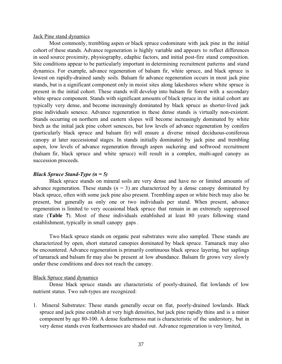Jack Pine stand dynamics

 Most commonly, trembling aspen or black spruce codominate with jack pine in the initial cohort of these stands. Advance regeneration is highly variable and appears to reflect differences in seed source proximity, physiography, edaphic factors, and initial post-fire stand composition. Site conditions appear to be particularly important in determining recruitment patterns and stand dynamics. For example, advance regeneration of balsam fir, white spruce, and black spruce is lowest on rapidly-drained sandy soils. Balsam fir advance regeneration occurs in most jack pine stands, but is a significant component only in moist sites along lakeshores where white spruce is present in the initial cohort. These stands will develop into balsam fir forest with a secondary white spruce component. Stands with significant amounts of black spruce in the initial cohort are typically very dense, and become increasingly dominated by black spruce as shorter-lived jack pine individuals senesce. Advance regeneration in these dense stands is virtually non-existent. Stands occurring on northern and eastern slopes will become increasingly dominated by white birch as the initial jack pine cohort senesces, but low levels of advance regeneration by conifers (particularly black spruce and balsam fir) will ensure a diverse mixed deciduous-coniferous canopy at later successional stages. In stands initially dominated by jack pine and trembling aspen, low levels of advance regeneration through aspen suckering and softwood recruitment (balsam fir, black spruce and white spruce) will result in a complex, multi-aged canopy as succession proceeds.

# *Black Spruce Stand-Type (n = 5)*

 Black spruce stands on mineral soils are very dense and have no or limited amounts of advance regeneration. These stands  $(n = 3)$  are characterized by a dense canopy dominated by black spruce, often with some jack pine also present. Trembling aspen or white birch may also be present, but generally as only one or two individuals per stand. When present, advance regeneration is limited to very occasional black spruce that remain in an extremely suppressed state (**Table 7**). Most of these individuals established at least 80 years following stand establishment, typically in small canopy gaps .

Two black spruce stands on organic peat substrates were also sampled. These stands are characterized by open, short statured canopies dominated by black spruce. Tamarack may also be encountered. Advance regeneration is primarily continuous black spruce layering, but saplings of tamarack and balsam fir may also be present at low abundance. Balsam fir grows very slowly under these conditions and does not reach the canopy.

#### Black Spruce stand dynamics

 Dense black spruce stands are characteristic of poorly-drained, flat lowlands of low nutrient status. Two sub-types are recognized:

1. Mineral Substrates: These stands generally occur on flat, poorly-drained lowlands. Black spruce and jack pine establish at very high densities, but jack pine rapidly thins and is a minor component by age 80-100. A dense feathermoss mat is characteristic of the understory, but in very dense stands even feathermosses are shaded out. Advance regeneration is very limited,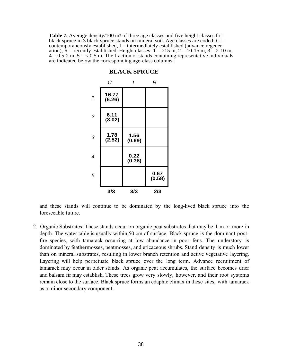Table 7. Average density/100 m<sup>2</sup> of three age classes and five height classes for black spruce in 3 black spruce stands on mineral soil. Age classes are coded:  $C =$ contemporaneously established,  $I =$  intermediately established (advance regeneration),  $\hat{R}$  = recently established. Height classes:  $1 = 15$  m,  $2 = 10-15$  m,  $3 = 2-10$  m,  $4 = 0.5$ -2 m,  $5 = 0.5$  m. The fraction of stands containing representative individuals are indicated below the corresponding age-class columns.

|                | C               | I              | R              |
|----------------|-----------------|----------------|----------------|
| 1              | 16.77<br>(6.26) |                |                |
| $\overline{c}$ | 6.11<br>(3.02)  |                |                |
| 3              | 1.78<br>(2.52)  | 1.56<br>(0.69) |                |
| 4              |                 | 0.22<br>(0.38) |                |
| 5              |                 |                | 0.67<br>(0.58) |
|                | 3/3             | 3/3            | 2/3            |

#### **BLACK SPRUCE**

and these stands will continue to be dominated by the long-lived black spruce into the foreseeable future.

2. Organic Substrates: These stands occur on organic peat substrates that may be 1 m or more in depth. The water table is usually within 50 cm of surface. Black spruce is the dominant postfire species, with tamarack occurring at low abundance in poor fens. The understory is dominated by feathermosses, peatmosses, and ericaceous shrubs. Stand density is much lower than on mineral substrates, resulting in lower branch retention and active vegetative layering. Layering will help perpetuate black spruce over the long term. Advance recruitment of tamarack may occur in older stands. As organic peat accumulates, the surface becomes drier and balsam fir may establish. These trees grow very slowly, however, and their root systems remain close to the surface. Black spruce forms an edaphic climax in these sites, with tamarack as a minor secondary component.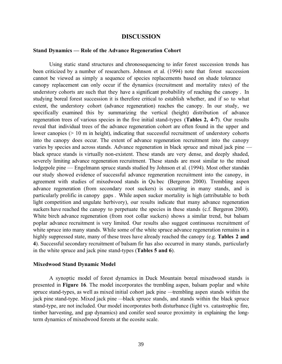# **DISCUSSION**

#### **Stand Dynamics — Role of the Advance Regeneration Cohort**

 Using static stand structures and chronosequencing to infer forest succession trends has been criticized by a number of researchers. Johnson et al. (1994) note that forest succession cannot be viewed as simply a sequence of species replacements based on shade tolerance canopy replacement can only occur if the dynamics (recruitment and mortality rates) of the understory cohorts are such that they have a significant probability of reaching the canopy . In studying boreal forest succession it is therefore critical to establish whether, and if so to what extent, the understory cohort (advance regeneration) reaches the canopy. In our study, we specifically examined this by summarizing the vertical (height) distribution of advance regeneration trees of various species in the five initial stand-types (**Tables 2, 4-7**). Our results reveal that individual trees of the advance regeneration cohort are often found in the upper and lower canopies ( $> 10$  m in height), indicating that successful recruitment of understory cohorts into the canopy does occur. The extent of advance regeneration recruitment into the canopy varies by species and across stands. Advance regeneration in black spruce and mixed jack pine black spruce stands is virtually non-existent. These stands are very dense, and deeply shaded, severely limiting advance regeneration recruitment. These stands are most similar to the mixed lodgepole pine — Engelmann spruce stands studied by Johnson et al.  $(1994)$ . Most other stands in our study showed evidence of successful advance regeneration recruitment into the canopy, in agreement with studies of mixedwood stands in Qu bec (Bergeron 2000). Trembling aspen advance regeneration (from secondary root suckers) is occurring in many stands, and is particularly prolific in canopy gaps . While aspen sucker mortality is high (attributable to both light competition and ungulate herbivory), our results indicate that many advance regeneration suckers have reached the canopy to perpetuate the species in these stands (c.f. Bergeron 2000). White birch advance regeneration (from root collar suckers) shows a similar trend, but balsam poplar advance recruitment is very limited. Our results also suggest continuous recruitment of white spruce into many stands. While some of the white spruce advance regeneration remains in a highly suppressed state, many of these trees have already reached the canopy (e.g. **Tables 2 and 4**). Successful secondary recruitment of balsam fir has also occurred in many stands, particularly in the white spruce and jack pine stand-types (**Tables 5 and 6**).

#### **Mixedwood Stand Dynamic Model**

 A synoptic model of forest dynamics in Duck Mountain boreal mixedwood stands is presented in **Figure 16**. The model incorporates the trembling aspen, balsam poplar and white spruce stand-types, as well as mixed initial cohort jack pine — trembling aspen stands within the jack pine stand-type. Mixed jack pine — black spruce stands, and stands within the black spruce stand-type, are not included. Our model incorporates both disturbance (light vs. catastrophic fire, timber harvesting, and gap dynamics) and conifer seed source proximity in explaining the longterm dynamics of mixedwood forests at the ecosite scale.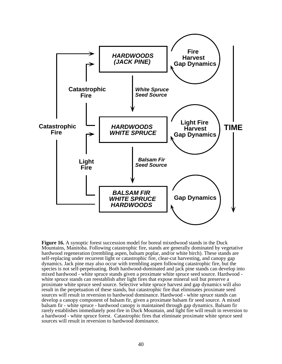

**Figure 16.** A synoptic forest succession model for boreal mixedwood stands in the Duck Mountains, Manitoba. Following catastrophic fire, stands are generally dominated by vegetative hardwood regeneration (trembling aspen, balsam poplar, and/or white birch). These stands are self-replacing under recurrent light or catastrophic fire, clear-cut harvesting, and canopy gap dynamics. Jack pine may also occur with trembling aspen following catastrophic fire, but the species is not self-perpetuating. Both hardwood-dominated and jack pine stands can develop into mixed hardwood - white spruce stands given a proximate white spruce seed source. Hardwood white spruce stands can reestablish after light fires that expose mineral soil but preserve a proximate white spruce seed source. Selective white spruce harvest and gap dynamics will also result in the perpetuation of these stands, but catastrophic fire that eliminates proximate seed sources will result in reversion to hardwood dominance. Hardwood - white spruce stands can develop a canopy component of balsam fir, given a proximate balsam fir seed source. A mixed balsam fir - white spruce - hardwood canopy is maintained through gap dynamics. Balsam fir rarely establishes immediately post-fire in Duck Mountain, and light fire will result in reversion to a hardwood - white spruce forest. Catastrophic fires that eliminate proximate white spruce seed sources will result in reversion to hardwood dominance.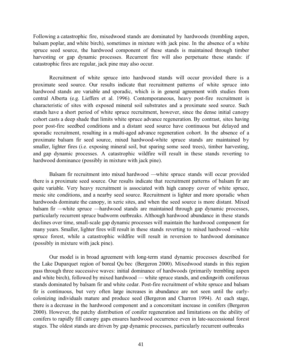Following a catastrophic fire, mixedwood stands are dominated by hardwoods (trembling aspen, balsam poplar, and white birch), sometimes in mixture with jack pine. In the absence of a white spruce seed source, the hardwood component of these stands is maintained through timber harvesting or gap dynamic processes. Recurrent fire will also perpetuate these stands: if catastrophic fires are regular, jack pine may also occur.

 Recruitment of white spruce into hardwood stands will occur provided there is a proximate seed source. Our results indicate that recruitment patterns of white spruce into hardwood stands are variable and sporadic, which is in general agreement with studies from central Alberta (e.g. Lieffers et al. 1996). Contemporaneous, heavy post-fire recruitment is characteristic of sites with exposed mineral soil substrates and a proximate seed source. Such stands have a short period of white spruce recruitment, however, since the dense initial canopy cohort casts a deep shade that limits white spruce advance regeneration. By contrast, sites having poor post-fire seedbed conditions and a distant seed source have continuous but delayed and sporadic recruitment, resulting in a multi-aged advance regeneration cohort. In the absence of a proximate balsam fir seed source, mixed hardwood-white spruce stands are maintained by smaller, lighter fires (i.e. exposing mineral soil, but sparing some seed trees), timber harvesting, and gap dynamic processes. A catastrophic wildfire will result in these stands reverting to hardwood dominance (possibly in mixture with jack pine).

 Balsam fir recruitment into mixed hardwood — white spruce stands will occur provided there is a proximate seed source. Our results indicate that recruitment patterns of balsam fir are quite variable. Very heavy recruitment is associated with high canopy cover of white spruce, mesic site conditions, and a nearby seed source. Recruitment is lighter and more sporadic when hardwoods dominate the canopy, in xeric sites, and when the seed source is more distant. Mixed balsam fir — white spruce — hardwood stands are maintained through gap dynamic processes, particularly recurrent spruce budworm outbreaks. Although hardwood abundance in these stands declines over time, small-scale gap dynamic processes will maintain the hardwood component for many years. Smaller, lighter fires will result in these stands reverting to mixed hardwood — white spruce forest, while a catastrophic wildfire will result in reversion to hardwood dominance (possibly in mixture with jack pine).

Our model is in broad agreement with long-term stand dynamic processes described for the Lake Duparquet region of boreal Qu bec (Bergeron 2000). Mixedwood stands in this region pass through three successive waves: initial dominance of hardwoods (primarily trembling aspen and white birch), followed by mixed hardwood — white spruce stands, and ending with coniferous stands dominated by balsam fir and white cedar. Post-fire recruitment of white spruce and balsam fir is continuous, but very often large increases in abundance are not seen until the earlycolonizing individuals mature and produce seed (Bergeron and Charron 1994). At each stage, there is a decrease in the hardwood component and a concomitant increase in conifers (Bergeron 2000). However, the patchy distribution of conifer regeneration and limitations on the ability of conifers to rapidly fill canopy gaps ensures hardwood occurrence even in late-successional forest stages. The oldest stands are driven by gap dynamic processes, particularly recurrent outbreaks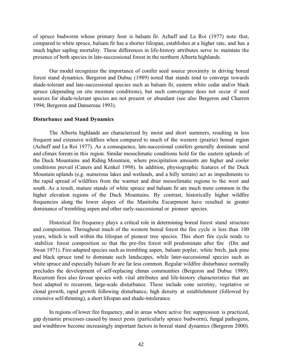of spruce budworm whose primary host is balsam fir. Achuff and La Roi (1977) note that, compared to white spruce, balsam fir has a shorter lifespan, establishes at a higher rate, and has a much higher sapling mortality. These differences in life-history attributes serve to maintain the presence of both species in late-successional forest in the northern Alberta highlands.

 Our model recognizes the importance of conifer seed source proximity in driving boreal forest stand dynamics. Bergeron and Dubuc (1989) noted that stands tend to converge towards shade-tolerant and late-successional species such as balsam fir, eastern white cedar and/or black spruce (depending on site moisture conditions), but such convergence does not occur if seed sources for shade-tolerant species are not present or abundant (see also Bergeron and Charron 1994; Bergeron and Dansereau 1993).

#### **Disturbance and Stand Dynamics**

 The Alberta highlands are characterized by moist and short summers, resulting in less frequent and extensive wildfires when compared to much of the western (prairie) boreal region (Achuff and La Roi 1977). As a consequence, late-succesional conifers generally dominate seral and climax forests in this region. Similar mesoclimatic conditions hold for the eastern uplands of the Duck Mountains and Riding Mountain, where precipitation amounts are higher and cooler conditions prevail (Caners and Kenkel 1998). In addition, physiographic features of the Duck Mountain uplands (e.g. numerous lakes and wetlands, and a hilly terrain) act as impediments to the rapid spread of wildfires from the warmer and drier mesoclimatic regions to the west and south. As a result, mature stands of white spruce and balsam fir are much more common in the higher elevation regions of the Duck Mountains. By contrast, historically higher wildfire frequencies along the lower slopes of the Manitoba Escarpment have resulted in greater dominance of trembling aspen and other early-successional or pioneer species.

 Historical fire frequency plays a critical role in determining boreal forest stand structure and composition. Throughout much of the western boreal forest the fire cycle is less than 100 years, which is well within the lifespan of pioneer tree species. This short fire cycle tends to stabilize forest composition so that the pre-fire forest will predominate after fire (Dix and Swan 1971). Fire-adapted species such as trembling aspen, balsam poplar, white birch, jack pine and black spruce tend to dominate such landscapes, while later-successional species such as white spruce and especially balsam fir are far less common. Regular wildfire disturbance normally precludes the development of self-replacing climax communities (Bergeron and Dubuc 1989). Recurrent fires also favour species with vital attributes and life-history characteristics that are best adapted to recurrent, large-scale disturbance. These include cone serotiny, vegetative or clonal growth, rapid growth following disturbance, high density at establishment (followed by extensive self-thinning), a short lifespan and shade-intolerance.

 In regions of lower fire frequency, and in areas where active fire suppression is practiced, gap dynamic processes caused by insect pests (particularly spruce budworm), fungal pathogens, and windthrow become increasingly important factors in boreal stand dynamics (Bergeron 2000).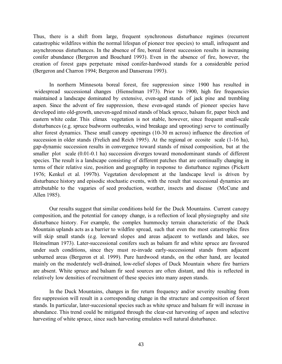Thus, there is a shift from large, frequent synchronous disturbance regimes (recurrent catastrophic wildfires within the normal lifespan of pioneer tree species) to small, infrequent and asynchronous disturbances. In the absence of fire, boreal forest succession results in increasing conifer abundance (Bergeron and Bouchard 1993). Even in the absence of fire, however, the creation of forest gaps perpetuate mixed conifer-hardwood stands for a considerable period (Bergeron and Charron 1994; Bergeron and Dansereau 1993).

 In northern Minnesota boreal forest, fire suppression since 1900 has resulted in widespread successional changes (Hienselman 1973). Prior to 1900, high fire frequencies maintained a landscape dominated by extensive, even-aged stands of jack pine and trembling aspen. Since the advent of fire suppression, these even-aged stands of pioneer species have developed into old-growth, uneven-aged mixed stands of black spruce, balsam fir, paper birch and eastern white cedar. This climax vegetation is not stable, however, since frequent small-scale disturbances (e.g. spruce budworm outbreaks, wind breakage and uprooting) serve to continually alter forest dynamics. These small canopy openings (10-30 m across) influence the direction of succession in older stands (Frelich and Reich 1995). At the regional or ecosite scale (1-16 ha), gap-dynamic succession results in convergence toward stands of mixed composition, but at the smaller plot scale (0.01-0.1 ha) succession diverges toward monodominant stands of different species. The result is a landscape consisting of different patches that are continually changing in terms of their relative size, position and geography in response to disturbance regimes (Pickett 1976; Kenkel et al. 1997b). Vegetation development at the landscape level is driven by disturbance history and episodic stochastic events, with the result that succesional dynamics are attributable to the vagaries of seed production, weather, insects and disease (McCune and Allen 1985).

 Our results suggest that similar conditions hold for the Duck Mountains. Current canopy composition, and the potential for canopy change, is a reflection of local physiography and site disturbance history. For example, the complex hummocky terrain characteristic of the Duck Mountain uplands acts as a barrier to wildfire spread, such that even the most catastrophic fires will skip small stands (e.g. leeward slopes and areas adjacent to wetlands and lakes, see Heinselman 1973). Later-successional conifers such as balsam fir and white spruce are favoured under such conditions, since they must re-invade early-successional stands from adjacent unburned areas (Bergeron et al. 1999). Pure hardwood stands, on the other hand, are located mainly on the moderately well-drained, low-relief slopes of Duck Mountain where fire barriers are absent. White spruce and balsam fir seed sources are often distant, and this is reflected in relatively low densities of recruitment of these species into many aspen stands.

 In the Duck Mountains, changes in fire return frequency and/or severity resulting from fire suppression will result in a corresponding change in the structure and composition of forest stands. In particular, later-succesional species such as white spruce and balsam fir will increase in abundance. This trend could be mitigated through the clear-cut harvesting of aspen and selective harvesting of white spruce, since such harvesting emulates well natural disturbance.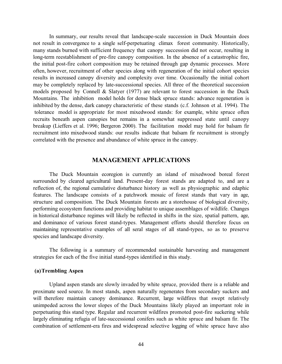In summary, our results reveal that landscape-scale succession in Duck Mountain does not result in convergence to a single self-perpetuating climax forest community. Historically, many stands burned with sufficient frequency that canopy succession did not occur, resulting in long-term reestablishment of pre-fire canopy composition. In the absence of a catastrophic fire, the initial post-fire cohort composition may be retained through gap dynamic processes. More often, however, recruitment of other species along with regeneration of the initial cohort species results in increased canopy diversity and complexity over time. Occasionally the initial cohort may be completely replaced by late-successional species. All three of the theoretical succession models proposed by Connell & Slatyer (1977) are relevant to forest succession in the Duck Mountains. The inhibition model holds for dense black spruce stands: advance regeneration is inhibited by the dense, dark canopy characteristic of these stands (c.f. Johnson et al. 1994). The tolerance model is appropriate for most mixedwood stands: for example, white spruce often recruits beneath aspen canopies but remains in a somewhat suppressed state until canopy breakup (Lieffers et al. 1996; Bergeron 2000). The facilitation model may hold for balsam fir recruitment into mixedwood stands: our results indicate that balsam fir recruitment is strongly correlated with the presence and abundance of white spruce in the canopy.

# **MANAGEMENT APPLICATIONS**

 The Duck Mountain ecoregion is currently an island of mixedwood boreal forest surrounded by cleared agricultural land. Present-day forest stands are adapted to, and are a reflection of, the regional cumulative disturbance history as well as physiographic and edaphic features. The landscape consists of a patchwork mosaic of forest stands that vary in age, structure and composition. The Duck Mountain forests are a storehouse of biological diversity, performing ecosystem functions and providing habitat to unique assemblages of wildlife. Changes in historical disturbance regimes will likely be reflected in shifts in the size, spatial pattern, age, and dominance of various forest stand-types. Management efforts should therefore focus on maintaining representative examples of all seral stages of all stand-types, so as to preserve species and landscape diversity.

 The following is a summary of recommended sustainable harvesting and management strategies for each of the five initial stand-types identified in this study.

# **(a)Trembling Aspen**

Upland aspen stands are slowly invaded by white spruce, provided there is a reliable and proximate seed source. In most stands, aspen naturally regenerates from secondary suckers and will therefore maintain canopy dominance. Recurrent, large wildfires that swept relatively unimpeded across the lower slopes of the Duck Mountains likely played an important role in perpetuating this stand type. Regular and recurrent wildfires promoted post-fire suckering while largely eliminating refugia of late-successional conifers such as white spruce and balsam fir. The combination of settlement-era fires and widespread selective logging of white spruce have also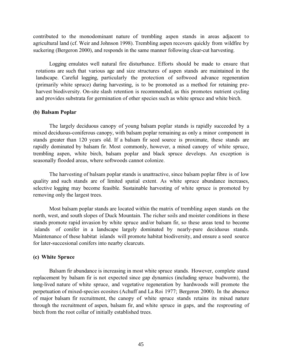contributed to the monodominant nature of trembling aspen stands in areas adjacent to agricultural land (cf. Weir and Johnson 1998). Trembling aspen recovers quickly from wildfire by suckering (Bergeron 2000), and responds in the same manner following clear-cut harvesting.

 Logging emulates well natural fire disturbance. Efforts should be made to ensure that rotations are such that various age and size structures of aspen stands are maintained in the landscape. Careful logging, particularly the protection of softwood advance regeneration (primarily white spruce) during harvesting, is to be promoted as a method for retaining preharvest biodiversity. On-site slash retention is recommended, as this promotes nutrient cycling and provides substrata for germination of other species such as white spruce and white birch.

# **(b) Balsam Poplar**

The largely deciduous canopy of young balsam poplar stands is rapidly succeeded by a mixed deciduous-coniferous canopy, with balsam poplar remaining as only a minor component in stands greater than 120 years old. If a balsam fir seed source is proximate, these stands are rapidly dominated by balsam fir. Most commonly, however, a mixed canopy of white spruce, trembling aspen, white birch, balsam poplar and black spruce develops. An exception is seasonally flooded areas, where softwoods cannot colonize.

The harvesting of balsam poplar stands is unattractive, since balsam poplar fibre is of low quality and such stands are of limited spatial extent. As white spruce abundance increases, selective logging may become feasible. Sustainable harvesting of white spruce is promoted by removing only the largest trees.

 Most balsam poplar stands are located within the matrix of trembling aspen stands on the north, west, and south slopes of Duck Mountain. The richer soils and moister conditions in these stands promote rapid invasion by white spruce and/or balsam fir, so these areas tend to become islands of conifer in a landscape largely dominated by nearly-pure deciduous stands. Maintenance of these habitat islands will promote habitat biodiversity, and ensure a seed source for later-succesional conifers into nearby clearcuts.

#### **(c) White Spruce**

 Balsam fir abundance is increasing in most white spruce stands. However, complete stand replacement by balsam fir is not expected since gap dynamics (including spruce budworm), the long-lived nature of white spruce, and vegetative regeneration by hardwoods will promote the perpetuation of mixed-species ecosites (Achuff and La Roi 1977; Bergeron 2000). In the absence of major balsam fir recruitment, the canopy of white spruce stands retains its mixed nature through the recruitment of aspen, balsam fir, and white spruce in gaps, and the resprouting of birch from the root collar of initially established trees.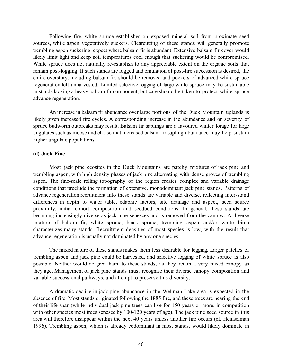Following fire, white spruce establishes on exposed mineral soil from proximate seed sources, while aspen vegetatively suckers. Clearcutting of these stands will generally promote trembling aspen suckering, expect where balsam fir is abundant. Extensive balsam fir cover would likely limit light and keep soil temperatures cool enough that suckering would be compromised. White spruce does not naturally re-establish to any appreciable extent on the organic soils that remain post-logging. If such stands are logged and emulation of post-fire succession is desired, the entire overstory, including balsam fir, should be removed and pockets of advanced white spruce regeneration left unharvested. Limited selective logging of large white spruce may be sustainable in stands lacking a heavy balsam fir component, but care should be taken to protect white spruce advance regeneration.

 An increase in balsam fir abundance over large portions of the Duck Mountain uplands is likely given increased fire cycles. A corresponding increase in the abundance and or severity of spruce budworm outbreaks may result. Balsam fir saplings are a favoured winter forage for large ungulates such as moose and elk, so that increased balsam fir sapling abundance may help sustain higher ungulate populations.

# **(d) Jack Pine**

 Most jack pine ecosites in the Duck Mountains are patchy mixtures of jack pine and trembling aspen, with high density phases of jack pine alternating with dense groves of trembling aspen. The fine-scale rolling topography of the region creates complex and variable drainage conditions that preclude the formation of extensive, monodominant jack pine stands. Patterns of advance regeneration recruitment into these stands are variable and diverse, reflecting inter-stand differences in depth to water table, edaphic factors, site drainage and aspect, seed source proximity, initial cohort composition and seedbed conditions. In general, these stands are becoming increasingly diverse as jack pine senesces and is removed from the canopy. A diverse mixture of balsam fir, white spruce, black spruce, trembling aspen and/or white birch characterizes many stands. Recruitment densities of most species is low, with the result that advance regeneration is usually not dominated by any one species.

 The mixed nature of these stands makes them less desirable for logging. Larger patches of trembling aspen and jack pine could be harvested, and selective logging of white spruce is also possible. Neither would do great harm to these stands, as they retain a very mixed canopy as they age. Management of jack pine stands must recognise their diverse canopy composition and variable successional pathways, and attempt to preserve this diversity.

 A dramatic decline in jack pine abundance in the Wellman Lake area is expected in the absence of fire. Most stands originated following the 1885 fire, and these trees are nearing the end of their life-span (while individual jack pine trees can live for 150 years or more, in competition with other species most trees senesce by 100-120 years of age). The jack pine seed source in this area will therefore disappear within the next 40 years unless another fire occurs (cf. Heinselman 1996). Trembling aspen, which is already codominant in most stands, would likely dominate in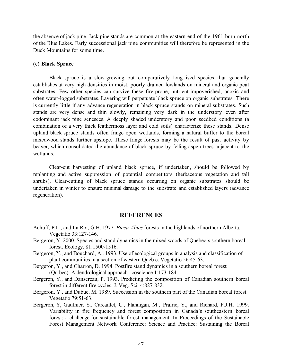the absence of jack pine. Jack pine stands are common at the eastern end of the 1961 burn north of the Blue Lakes. Early successional jack pine communities will therefore be represented in the Duck Mountains for some time.

#### **(e) Black Spruce**

 Black spruce is a slow-growing but comparatively long-lived species that generally establishes at very high densities in moist, poorly drained lowlands on mineral and organic peat substrates. Few other species can survive these fire-prone, nutrient-impoverished, anoxic and often water-logged substrates. Layering will perpetuate black spruce on organic substrates. There is currently little if any advance regeneration in black spruce stands on mineral substrates. Such stands are very dense and thin slowly, remaining very dark in the understory even after codominant jack pine senesces. A deeply shaded understory and poor seedbed conditions (a combination of a very thick feathermoss layer and cold soils) characterize these stands. Dense upland black spruce stands often fringe open wetlands, forming a natural buffer to the boreal mixedwood stands further upslope. These fringe forests may be the result of past activity by beaver, which consolidated the abundance of black spruce by felling aspen trees adjacent to the wetlands.

 Clear-cut harvesting of upland black spruce, if undertaken, should be followed by replanting and active suppression of potential competitors (herbaceous vegetation and tall shrubs). Clear-cutting of black spruce stands occurring on organic substrates should be undertaken in winter to ensure minimal damage to the substrate and established layers (advance regeneration).

# **REFERENCES**

- Achuff, P.L., and La Roi, G.H. 1977. *Picea-Abies* forests in the highlands of northern Alberta. Vegetatio 33:127-146.
- Bergeron, Y. 2000. Species and stand dynamics in the mixed woods of Quebec's southern boreal forest. Ecology. 81:1500-1516.
- Bergeron, Y., and Bouchard, A.. 1993. Use of ecological groups in analysis and classification of plant communities in a section of western Queb c. Vegetatio 56:45-63.
- Bergeron, Y., and Charron, D. 1994. Postfire stand dynamics in a southern boreal forest (Qu bec): A dendrological approach. coscience 1:173-184.
- Bergeron, Y., and Dansereau, P. 1993. Predicting the composition of Canadian southern boreal forest in different fire cycles. J. Veg. Sci. 4:827-832.
- Bergeron, Y., and Dubuc, M. 1989. Succession in the southern part of the Canadian boreal forest. Vegetatio 79:51-63.
- Bergeron, Y, Gauthier, S., Carcaillet, C., Flannigan, M., Prairie, Y., and Richard, P.J.H. 1999. Variability in fire frequency and forest composition in Canada's southeastern boreal forest: a challenge for sustainable forest management. In Proceedings of the Sustainable Forest Management Network Conference: Science and Practice: Sustaining the Boreal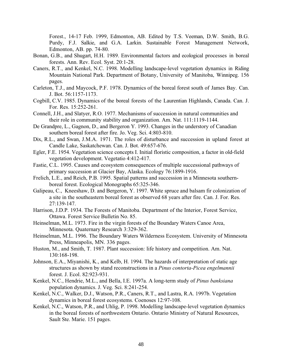Forest., 14-17 Feb. 1999, Edmonton, AB. Edited by T.S. Veeman, D.W. Smith, B.G. Purdy, F.J. Salkie, and G.A. Larkin. Sustainable Forest Management Network, Edmonton, AB. pp. 74-80.

- Bonan, G.B., and Shugart, H.H. 1989. Environmental factors and ecological processes in boreal forests. Ann. Rev. Ecol. Syst. 20:1-28.
- Caners, R.T., and Kenkel, N.C. 1998. Modelling landscape-level vegetation dynamics in Riding Mountain National Park. Department of Botany, University of Manitoba, Winnipeg. 156 pages.
- Carleton, T.J., and Maycock, P.F. 1978. Dynamics of the boreal forest south of James Bay. Can. J. Bot. 56:1157-1173.
- Cogbill, C.V. 1985. Dynamics of the boreal forests of the Laurentian Highlands, Canada. Can. J. For. Res. 15:252-261.
- Connell, J.H., and Slatyer, R.O. 1977. Mechanisms of succession in natural communities and their role in community stability and organization. Am. Nat. 111:1119-1144.
- De Grandpre, L., Gagnon, D., and Bergeron Y. 1993. Changes in the understory of Canadian southern boreal forest after fire. Jo. Veg. Sci. 4:803-810.
- Dix, R.L., and Swan, J.M.A. 1971. The roles of disturbance and succession in upland forest at Candle Lake, Saskatchewan. Can. J. Bot. 49:657-676.
- Egler, F.E. 1954. Vegetation science concepts I. Initial floristic composition, a factor in old-field vegetation development. Vegetatio 4:412-417.
- Fastie, C.L. 1995. Causes and ecosystem consequences of multiple successional pathways of primary succession at Glacier Bay, Alaska. Ecology 76:1899-1916.
- Frelich, L.E., and Reich, P.B. 1995. Spatial patterns and succession in a Minnesota southernboreal forest. Ecological Monographs 65:325-346.
- Galipeau, C., Kneeshaw, D. and Bergeron, Y. 1997. White spruce and balsam fir colonization of a site in the southeastern boreal forest as observed 68 years after fire. Can. J. For. Res. 27:139-147.
- Harrison, J.D.P. 1934. The Forests of Manitoba. Department of the Interior, Forest Service, Ottawa. Forest Service Bulletin No. 85.
- Heinselman, M.L. 1973. Fire in the virgin forests of the Boundary Waters Canoe Area, Minnesota. Quaternary Research 3:329-362.
- Heinselman, M.L. 1996. The Boundary Waters Wilderness Ecosystem. University of Minnesota Press, Minneapolis, MN. 336 pages.
- Huston, M., and Smith, T. 1987. Plant succession: life history and competition. Am. Nat. 130:168-198.
- Johnson, E.A., Miyanishi, K., and Kelb, H. 1994. The hazards of interpretation of static age structures as shown by stand reconstructions in a *Pinus contorta-Picea engelmannii* forest. J. Ecol. 82:923-931.
- Kenkel, N.C., Hendrie, M.L., and Bella, I.E. 1997a. A long-term study of *Pinus banksiana* population dynamics. J. Veg. Sci. 8:241-254.
- Kenkel, N.C., Walker, D.J., Watson, P.R., Caners, R.T., and Lastra, R.A. 1997b. Vegetation dynamics in boreal forest ecosystems. Coenoses 12:97-108.
- Kenkel, N.C., Watson, P.R., and Uhlig, P. 1998. Modelling landscape-level vegetation dynamics in the boreal forests of northwestern Ontario. Ontario Ministry of Natural Resources, Sault Ste. Marie. 151 pages.